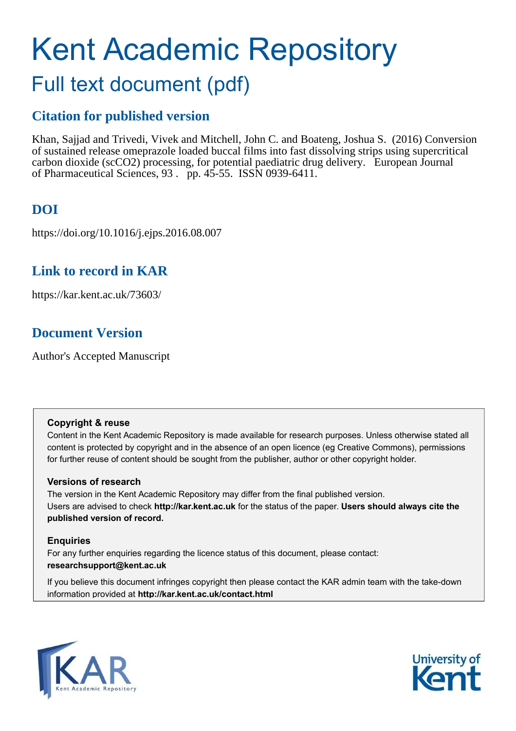# Kent Academic Repository

## Full text document (pdf)

## **Citation for published version**

Khan, Sajjad and Trivedi, Vivek and Mitchell, John C. and Boateng, Joshua S. (2016) Conversion of sustained release omeprazole loaded buccal films into fast dissolving strips using supercritical carbon dioxide (scCO2) processing, for potential paediatric drug delivery. European Journal of Pharmaceutical Sciences, 93 . pp. 45-55. ISSN 0939-6411.

## **DOI**

https://doi.org/10.1016/j.ejps.2016.08.007

### **Link to record in KAR**

https://kar.kent.ac.uk/73603/

## **Document Version**

Author's Accepted Manuscript

#### **Copyright & reuse**

Content in the Kent Academic Repository is made available for research purposes. Unless otherwise stated all content is protected by copyright and in the absence of an open licence (eg Creative Commons), permissions for further reuse of content should be sought from the publisher, author or other copyright holder.

#### **Versions of research**

The version in the Kent Academic Repository may differ from the final published version. Users are advised to check **http://kar.kent.ac.uk** for the status of the paper. **Users should always cite the published version of record.**

#### **Enquiries**

For any further enquiries regarding the licence status of this document, please contact: **researchsupport@kent.ac.uk**

If you believe this document infringes copyright then please contact the KAR admin team with the take-down information provided at **http://kar.kent.ac.uk/contact.html**



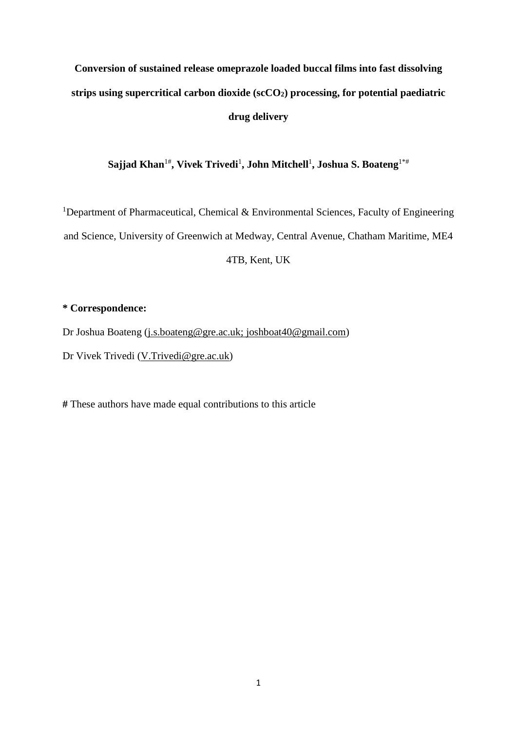## **Conversion of sustained release omeprazole loaded buccal films into fast dissolving strips using supercritical carbon dioxide (scCO2) processing, for potential paediatric drug delivery**

**Sajjad Khan**1#**, Vivek Trivedi**<sup>1</sup> **, John Mitchell**<sup>1</sup> **, Joshua S. Boateng**1\*#

<sup>1</sup>Department of Pharmaceutical, Chemical & Environmental Sciences, Faculty of Engineering and Science, University of Greenwich at Medway, Central Avenue, Chatham Maritime, ME4 4TB, Kent, UK

#### **\* Correspondence:**

Dr Joshua Boateng [\(j.s.boateng@gre.ac.uk;](mailto:j.s.boateng@gre.ac.uk) joshboat40@gmail.com)

Dr Vivek Trivedi [\(V.Trivedi@gre.ac.uk\)](mailto:V.Trivedi@gre.ac.uk)

**#** These authors have made equal contributions to this article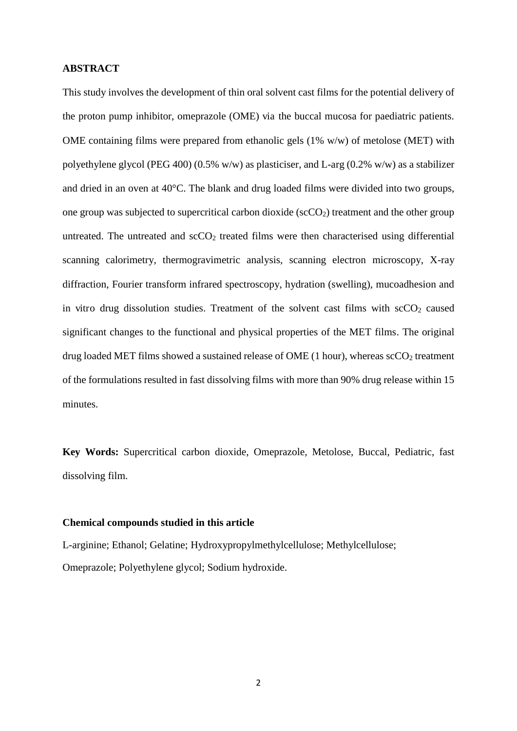#### **ABSTRACT**

This study involves the development of thin oral solvent cast films for the potential delivery of the proton pump inhibitor, omeprazole (OME) via the buccal mucosa for paediatric patients. OME containing films were prepared from ethanolic gels (1% w/w) of metolose (MET) with polyethylene glycol (PEG 400) (0.5% w/w) as plasticiser, and L-arg (0.2% w/w) as a stabilizer and dried in an oven at 40°C. The blank and drug loaded films were divided into two groups, one group was subjected to supercritical carbon dioxide ( $\sec{CO_2}$ ) treatment and the other group untreated. The untreated and  $\sec O_2$  treated films were then characterised using differential scanning calorimetry, thermogravimetric analysis, scanning electron microscopy, X-ray diffraction, Fourier transform infrared spectroscopy, hydration (swelling), mucoadhesion and in vitro drug dissolution studies. Treatment of the solvent cast films with  $\sec O_2$  caused significant changes to the functional and physical properties of the MET films. The original drug loaded MET films showed a sustained release of OME  $(1 hour)$ , whereas  $\text{scCO}_2$  treatment of the formulations resulted in fast dissolving films with more than 90% drug release within 15 minutes.

**Key Words:** Supercritical carbon dioxide, Omeprazole, Metolose, Buccal, Pediatric, fast dissolving film.

#### **Chemical compounds studied in this article**

L-arginine; Ethanol; Gelatine; Hydroxypropylmethylcellulose; Methylcellulose; Omeprazole; Polyethylene glycol; Sodium hydroxide.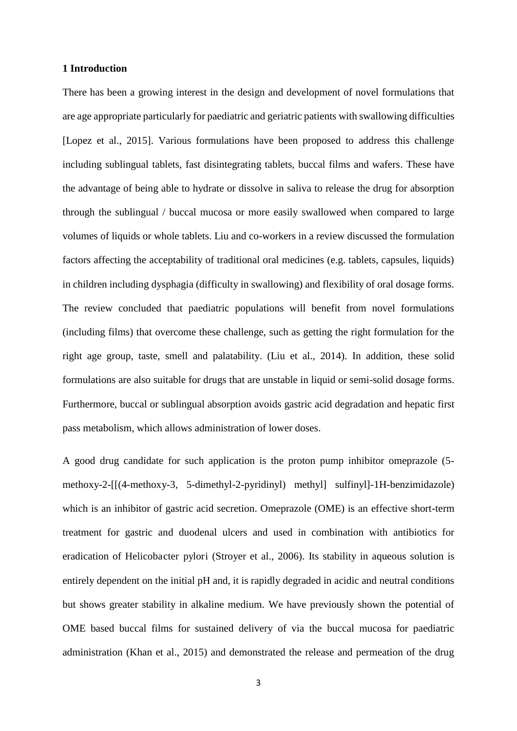#### **1 Introduction**

There has been a growing interest in the design and development of novel formulations that are age appropriate particularly for paediatric and geriatric patients with swallowing difficulties [Lopez et al., 2015]. Various formulations have been proposed to address this challenge including sublingual tablets, fast disintegrating tablets, buccal films and wafers. These have the advantage of being able to hydrate or dissolve in saliva to release the drug for absorption through the sublingual / buccal mucosa or more easily swallowed when compared to large volumes of liquids or whole tablets. Liu and co-workers in a review discussed the formulation factors affecting the acceptability of traditional oral medicines (e.g. tablets, capsules, liquids) in children including dysphagia (difficulty in swallowing) and flexibility of oral dosage forms. The review concluded that paediatric populations will benefit from novel formulations (including films) that overcome these challenge, such as getting the right formulation for the right age group, taste, smell and palatability. (Liu et al., 2014). In addition, these solid formulations are also suitable for drugs that are unstable in liquid or semi-solid dosage forms. Furthermore, buccal or sublingual absorption avoids gastric acid degradation and hepatic first pass metabolism, which allows administration of lower doses.

A good drug candidate for such application is the proton pump inhibitor omeprazole (5 methoxy-2-[[(4-methoxy-3, 5-dimethyl-2-pyridinyl) methyl] sulfinyl]-1H-benzimidazole) which is an inhibitor of gastric acid secretion. Omeprazole (OME) is an effective short-term treatment for gastric and duodenal ulcers and used in combination with antibiotics for eradication of Helicobacter pylori (Stroyer et al., 2006). Its stability in aqueous solution is entirely dependent on the initial pH and, it is rapidly degraded in acidic and neutral conditions but shows greater stability in alkaline medium. We have previously shown the potential of OME based buccal films for sustained delivery of via the buccal mucosa for paediatric administration (Khan et al., 2015) and demonstrated the release and permeation of the drug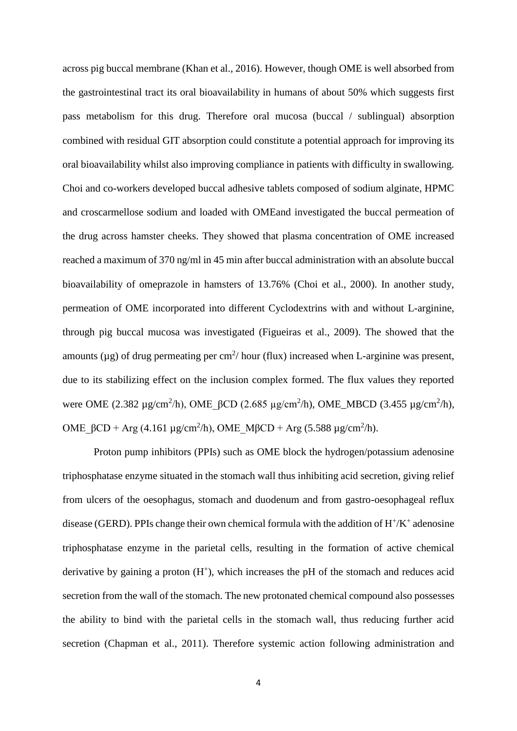across pig buccal membrane (Khan et al., 2016). However, though OME is well absorbed from the gastrointestinal tract its oral bioavailability in humans of about 50% which suggests first pass metabolism for this drug. Therefore oral mucosa (buccal / sublingual) absorption combined with residual GIT absorption could constitute a potential approach for improving its oral bioavailability whilst also improving compliance in patients with difficulty in swallowing. Choi and co-workers developed buccal adhesive tablets composed of sodium alginate, HPMC and croscarmellose sodium and loaded with OMEand investigated the buccal permeation of the drug across hamster cheeks. They showed that plasma concentration of OME increased reached a maximum of 370 ng/ml in 45 min after buccal administration with an absolute buccal bioavailability of omeprazole in hamsters of 13.76% (Choi et al., 2000). In another study, permeation of OME incorporated into different Cyclodextrins with and without L-arginine, through pig buccal mucosa was investigated (Figueiras et al., 2009). The showed that the amounts ( $\mu$ g) of drug permeating per cm<sup>2</sup>/hour (flux) increased when L-arginine was present, due to its stabilizing effect on the inclusion complex formed. The flux values they reported were OME (2.382 μg/cm<sup>2</sup>/h), OME\_ $\beta$ CD (2.685 μg/cm<sup>2</sup>/h), OME\_MBCD (3.455 μg/cm<sup>2</sup>/h), OME\_βCD + Arg (4.161 μg/cm<sup>2</sup>/h), OME\_MβCD + Arg (5.588 μg/cm<sup>2</sup>/h).

 Proton pump inhibitors (PPIs) such as OME block the hydrogen/potassium adenosine triphosphatase enzyme situated in the stomach wall thus inhibiting acid secretion, giving relief from ulcers of the oesophagus, stomach and duodenum and from gastro-oesophageal reflux disease (GERD). PPIs change their own chemical formula with the addition of  $H^+/K^+$  adenosine triphosphatase enzyme in the parietal cells, resulting in the formation of active chemical derivative by gaining a proton  $(H^+)$ , which increases the pH of the stomach and reduces acid secretion from the wall of the stomach. The new protonated chemical compound also possesses the ability to bind with the parietal cells in the stomach wall, thus reducing further acid secretion (Chapman et al., 2011). Therefore systemic action following administration and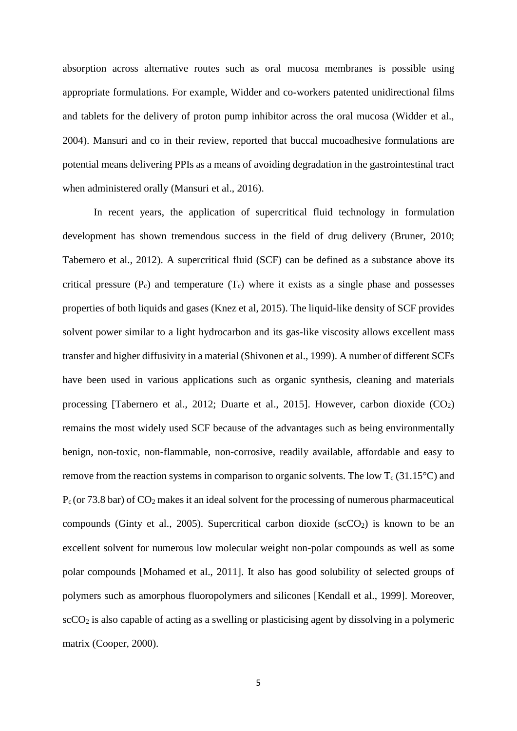absorption across alternative routes such as oral mucosa membranes is possible using appropriate formulations. For example, Widder and co-workers patented unidirectional films and tablets for the delivery of proton pump inhibitor across the oral mucosa (Widder et al., 2004). Mansuri and co in their review, reported that buccal mucoadhesive formulations are potential means delivering PPIs as a means of avoiding degradation in the gastrointestinal tract when administered orally (Mansuri et al., 2016).

In recent years, the application of supercritical fluid technology in formulation development has shown tremendous success in the field of drug delivery (Bruner, 2010; Tabernero et al., 2012). A supercritical fluid (SCF) can be defined as a substance above its critical pressure  $(P_c)$  and temperature  $(T_c)$  where it exists as a single phase and possesses properties of both liquids and gases (Knez et al, 2015). The liquid-like density of SCF provides solvent power similar to a light hydrocarbon and its gas-like viscosity allows excellent mass transfer and higher diffusivity in a material (Shivonen et al., 1999). A number of different SCFs have been used in various applications such as organic synthesis, cleaning and materials processing [Tabernero et al., 2012; Duarte et al., 2015]. However, carbon dioxide  $(CO<sub>2</sub>)$ remains the most widely used SCF because of the advantages such as being environmentally benign, non-toxic, non-flammable, non-corrosive, readily available, affordable and easy to remove from the reaction systems in comparison to organic solvents. The low  $T_c(31.15^{\circ}C)$  and  $P_c$  (or 73.8 bar) of  $CO_2$  makes it an ideal solvent for the processing of numerous pharmaceutical compounds (Ginty et al., 2005). Supercritical carbon dioxide ( $\sec O_2$ ) is known to be an excellent solvent for numerous low molecular weight non-polar compounds as well as some polar compounds [Mohamed et al., 2011]. It also has good solubility of selected groups of polymers such as amorphous fluoropolymers and silicones [Kendall et al., 1999]. Moreover,  $\sec{CO_2}$  is also capable of acting as a swelling or plasticising agent by dissolving in a polymeric matrix (Cooper, 2000).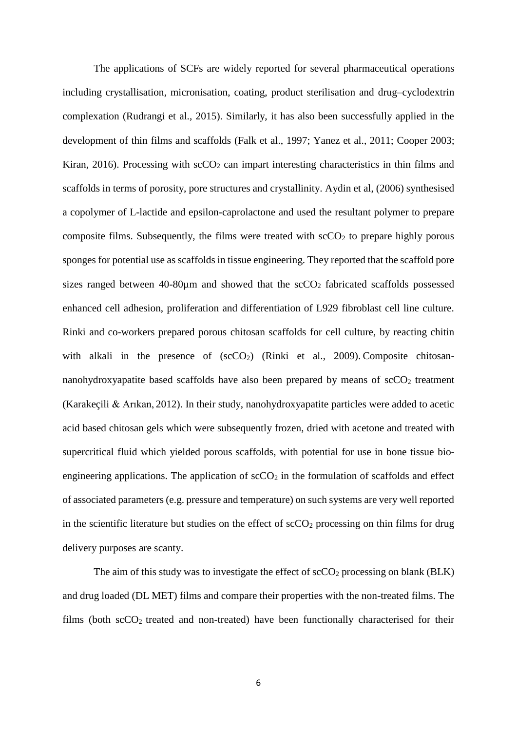The applications of SCFs are widely reported for several pharmaceutical operations including crystallisation, micronisation, coating, product sterilisation and drug–cyclodextrin complexation (Rudrangi et al., 2015). Similarly, it has also been successfully applied in the development of thin films and scaffolds (Falk et al., 1997; Yanez et al., 2011; Cooper 2003; Kiran, 2016). Processing with  $\secO<sub>2</sub>$  can impart interesting characteristics in thin films and scaffolds in terms of porosity, pore structures and crystallinity. Aydin et al, (2006) synthesised a copolymer of L-lactide and epsilon-caprolactone and used the resultant polymer to prepare composite films. Subsequently, the films were treated with  $\sec O_2$  to prepare highly porous sponges for potential use as scaffolds in tissue engineering. They reported that the scaffold pore sizes ranged between  $40-80\mu m$  and showed that the  $\sec O<sub>2</sub>$  fabricated scaffolds possessed enhanced cell adhesion, proliferation and differentiation of L929 fibroblast cell line culture. Rinki and co-workers prepared porous chitosan scaffolds for cell culture, by reacting chitin with alkali in the presence of  $(scCO<sub>2</sub>)$  (Rinki et al., 2009). Composite chitosannanohydroxyapatite based scaffolds have also been prepared by means of  $\sec O_2$  treatment (Karakeçili & Arıkan, 2012). In their study, nanohydroxyapatite particles were added to acetic acid based chitosan gels which were subsequently frozen, dried with acetone and treated with supercritical fluid which yielded porous scaffolds, with potential for use in bone tissue bioengineering applications. The application of  $\sec O_2$  in the formulation of scaffolds and effect of associated parameters (e.g. pressure and temperature) on such systems are very well reported in the scientific literature but studies on the effect of  $\sec O_2$  processing on thin films for drug delivery purposes are scanty.

The aim of this study was to investigate the effect of  $\text{scCO}_2$  processing on blank (BLK) and drug loaded (DL MET) films and compare their properties with the non-treated films. The films (both scCO<sub>2</sub> treated and non-treated) have been functionally characterised for their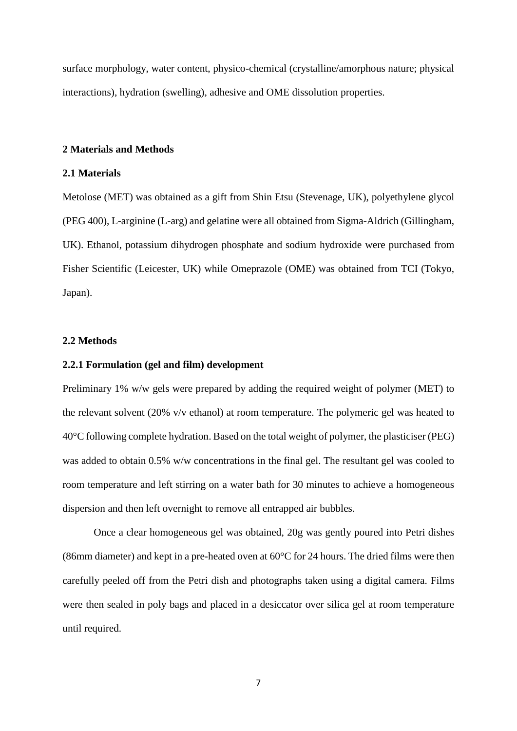surface morphology, water content, physico-chemical (crystalline/amorphous nature; physical interactions), hydration (swelling), adhesive and OME dissolution properties.

#### **2 Materials and Methods**

#### **2.1 Materials**

Metolose (MET) was obtained as a gift from Shin Etsu (Stevenage, UK), polyethylene glycol (PEG 400), L-arginine (L-arg) and gelatine were all obtained from Sigma-Aldrich (Gillingham, UK). Ethanol, potassium dihydrogen phosphate and sodium hydroxide were purchased from Fisher Scientific (Leicester, UK) while Omeprazole (OME) was obtained from TCI (Tokyo, Japan).

#### **2.2 Methods**

#### **2.2.1 Formulation (gel and film) development**

Preliminary 1% w/w gels were prepared by adding the required weight of polymer (MET) to the relevant solvent (20% v/v ethanol) at room temperature. The polymeric gel was heated to 40°C following complete hydration. Based on the total weight of polymer, the plasticiser (PEG) was added to obtain 0.5% w/w concentrations in the final gel. The resultant gel was cooled to room temperature and left stirring on a water bath for 30 minutes to achieve a homogeneous dispersion and then left overnight to remove all entrapped air bubbles.

Once a clear homogeneous gel was obtained, 20g was gently poured into Petri dishes (86mm diameter) and kept in a pre-heated oven at 60°C for 24 hours. The dried films were then carefully peeled off from the Petri dish and photographs taken using a digital camera. Films were then sealed in poly bags and placed in a desiccator over silica gel at room temperature until required.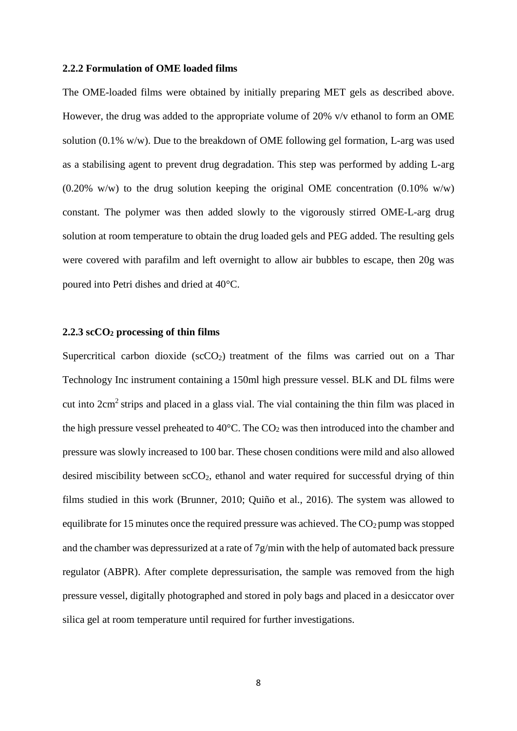#### **2.2.2 Formulation of OME loaded films**

The OME-loaded films were obtained by initially preparing MET gels as described above. However, the drug was added to the appropriate volume of 20% v/v ethanol to form an OME solution (0.1% w/w). Due to the breakdown of OME following gel formation, L-arg was used as a stabilising agent to prevent drug degradation. This step was performed by adding L-arg  $(0.20\% \text{ w/w})$  to the drug solution keeping the original OME concentration  $(0.10\% \text{ w/w})$ constant. The polymer was then added slowly to the vigorously stirred OME-L-arg drug solution at room temperature to obtain the drug loaded gels and PEG added. The resulting gels were covered with parafilm and left overnight to allow air bubbles to escape, then 20g was poured into Petri dishes and dried at 40°C.

#### **2.2.3 scCO2 processing of thin films**

Supercritical carbon dioxide  $(scCO<sub>2</sub>)$  treatment of the films was carried out on a Thar Technology Inc instrument containing a 150ml high pressure vessel. BLK and DL films were cut into 2cm<sup>2</sup> strips and placed in a glass vial. The vial containing the thin film was placed in the high pressure vessel preheated to  $40^{\circ}$ C. The CO<sub>2</sub> was then introduced into the chamber and pressure was slowly increased to 100 bar. These chosen conditions were mild and also allowed desired miscibility between scCO<sub>2</sub>, ethanol and water required for successful drying of thin films studied in this work (Brunner, 2010; [Quiño](http://www.sciencedirect.com/science/article/pii/S089684461530156X) et al., 2016). The system was allowed to equilibrate for 15 minutes once the required pressure was achieved. The  $CO<sub>2</sub>$  pump was stopped and the chamber was depressurized at a rate of  $7g/min$  with the help of automated back pressure regulator (ABPR). After complete depressurisation, the sample was removed from the high pressure vessel, digitally photographed and stored in poly bags and placed in a desiccator over silica gel at room temperature until required for further investigations.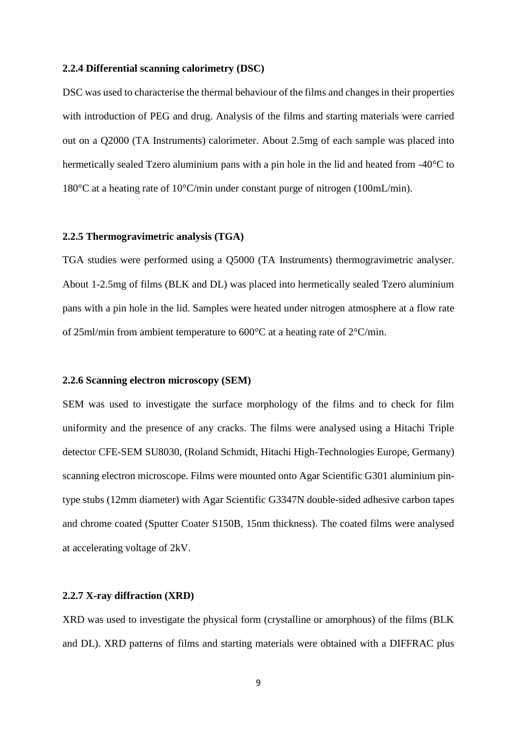#### **2.2.4 Differential scanning calorimetry (DSC)**

DSC was used to characterise the thermal behaviour of the films and changes in their properties with introduction of PEG and drug. Analysis of the films and starting materials were carried out on a Q2000 (TA Instruments) calorimeter. About 2.5mg of each sample was placed into hermetically sealed Tzero aluminium pans with a pin hole in the lid and heated from -40°C to 180°C at a heating rate of 10°C/min under constant purge of nitrogen (100mL/min).

#### **2.2.5 Thermogravimetric analysis (TGA)**

TGA studies were performed using a Q5000 (TA Instruments) thermogravimetric analyser. About 1-2.5mg of films (BLK and DL) was placed into hermetically sealed Tzero aluminium pans with a pin hole in the lid. Samples were heated under nitrogen atmosphere at a flow rate of 25ml/min from ambient temperature to 600°C at a heating rate of 2°C/min.

#### **2.2.6 Scanning electron microscopy (SEM)**

SEM was used to investigate the surface morphology of the films and to check for film uniformity and the presence of any cracks. The films were analysed using a Hitachi Triple detector CFE-SEM SU8030, (Roland Schmidt, Hitachi High-Technologies Europe, Germany) scanning electron microscope. Films were mounted onto Agar Scientific G301 aluminium pintype stubs (12mm diameter) with Agar Scientific G3347N double-sided adhesive carbon tapes and chrome coated (Sputter Coater S150B, 15nm thickness). The coated films were analysed at accelerating voltage of 2kV.

#### **2.2.7 X-ray diffraction (XRD)**

XRD was used to investigate the physical form (crystalline or amorphous) of the films (BLK and DL). XRD patterns of films and starting materials were obtained with a DIFFRAC plus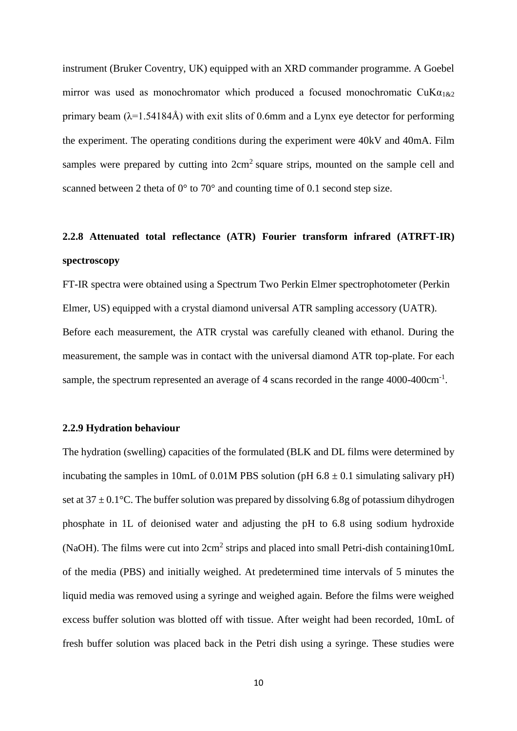instrument (Bruker Coventry, UK) equipped with an XRD commander programme. A Goebel mirror was used as monochromator which produced a focused monochromatic  $\text{CuK}\alpha_{1\&2}$ primary beam  $(\lambda=1.54184\text{\AA})$  with exit slits of 0.6mm and a Lynx eye detector for performing the experiment. The operating conditions during the experiment were 40kV and 40mA. Film samples were prepared by cutting into  $2 \text{cm}^2$  square strips, mounted on the sample cell and scanned between 2 theta of 0° to 70° and counting time of 0.1 second step size.

## **2.2.8 Attenuated total reflectance (ATR) Fourier transform infrared (ATRFT-IR) spectroscopy**

FT-IR spectra were obtained using a Spectrum Two Perkin Elmer spectrophotometer (Perkin Elmer, US) equipped with a crystal diamond universal ATR sampling accessory (UATR). Before each measurement, the ATR crystal was carefully cleaned with ethanol. During the measurement, the sample was in contact with the universal diamond ATR top-plate. For each sample, the spectrum represented an average of 4 scans recorded in the range 4000-400cm<sup>-1</sup>.

#### **2.2.9 Hydration behaviour**

The hydration (swelling) capacities of the formulated (BLK and DL films were determined by incubating the samples in 10mL of 0.01M PBS solution (pH  $6.8 \pm 0.1$  simulating salivary pH) set at  $37 \pm 0.1$ °C. The buffer solution was prepared by dissolving 6.8g of potassium dihydrogen phosphate in 1L of deionised water and adjusting the pH to 6.8 using sodium hydroxide (NaOH). The films were cut into 2cm<sup>2</sup> strips and placed into small Petri-dish containing10mL of the media (PBS) and initially weighed. At predetermined time intervals of 5 minutes the liquid media was removed using a syringe and weighed again. Before the films were weighed excess buffer solution was blotted off with tissue. After weight had been recorded, 10mL of fresh buffer solution was placed back in the Petri dish using a syringe. These studies were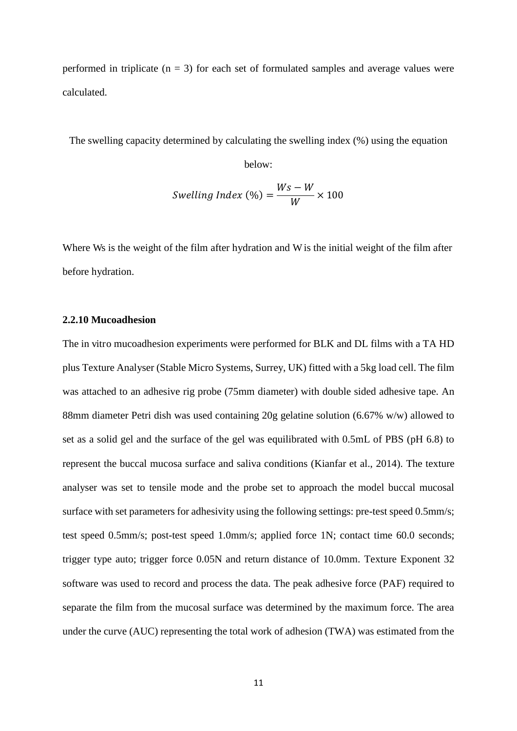performed in triplicate  $(n = 3)$  for each set of formulated samples and average values were calculated.

The swelling capacity determined by calculating the swelling index (%) using the equation

below:

$$
Swelling Index (\%) = \frac{Ws - W}{W} \times 100
$$

Where Ws is the weight of the film after hydration and W is the initial weight of the film after before hydration.

#### **2.2.10 Mucoadhesion**

The in vitro mucoadhesion experiments were performed for BLK and DL films with a TA HD plus Texture Analyser (Stable Micro Systems, Surrey, UK) fitted with a 5kg load cell. The film was attached to an adhesive rig probe (75mm diameter) with double sided adhesive tape. An 88mm diameter Petri dish was used containing 20g gelatine solution (6.67% w/w) allowed to set as a solid gel and the surface of the gel was equilibrated with 0.5mL of PBS (pH 6.8) to represent the buccal mucosa surface and saliva conditions (Kianfar et al., 2014). The texture analyser was set to tensile mode and the probe set to approach the model buccal mucosal surface with set parameters for adhesivity using the following settings: pre-test speed 0.5mm/s; test speed 0.5mm/s; post-test speed 1.0mm/s; applied force 1N; contact time 60.0 seconds; trigger type auto; trigger force 0.05N and return distance of 10.0mm. Texture Exponent 32 software was used to record and process the data. The peak adhesive force (PAF) required to separate the film from the mucosal surface was determined by the maximum force. The area under the curve (AUC) representing the total work of adhesion (TWA) was estimated from the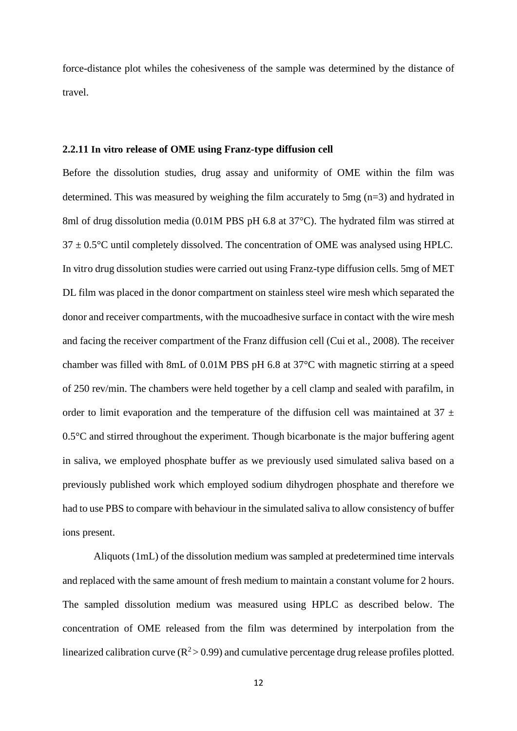force-distance plot whiles the cohesiveness of the sample was determined by the distance of travel.

#### **2.2.11 In vitro release of OME using Franz-type diffusion cell**

Before the dissolution studies, drug assay and uniformity of OME within the film was determined. This was measured by weighing the film accurately to 5mg (n=3) and hydrated in 8ml of drug dissolution media (0.01M PBS pH 6.8 at 37°C). The hydrated film was stirred at  $37 \pm 0.5$ °C until completely dissolved. The concentration of OME was analysed using HPLC. In vitro drug dissolution studies were carried out using Franz-type diffusion cells. 5mg of MET DL film was placed in the donor compartment on stainless steel wire mesh which separated the donor and receiver compartments, with the mucoadhesive surface in contact with the wire mesh and facing the receiver compartment of the Franz diffusion cell (Cui et al., 2008). The receiver chamber was filled with 8mL of 0.01M PBS pH 6.8 at 37°C with magnetic stirring at a speed of 250 rev/min. The chambers were held together by a cell clamp and sealed with parafilm, in order to limit evaporation and the temperature of the diffusion cell was maintained at  $37 \pm$  $0.5^{\circ}$ C and stirred throughout the experiment. Though bicarbonate is the major buffering agent in saliva, we employed phosphate buffer as we previously used simulated saliva based on a previously published work which employed sodium dihydrogen phosphate and therefore we had to use PBS to compare with behaviour in the simulated saliva to allow consistency of buffer ions present.

Aliquots (1mL) of the dissolution medium was sampled at predetermined time intervals and replaced with the same amount of fresh medium to maintain a constant volume for 2 hours. The sampled dissolution medium was measured using HPLC as described below. The concentration of OME released from the film was determined by interpolation from the linearized calibration curve  $(R^2 > 0.99)$  and cumulative percentage drug release profiles plotted.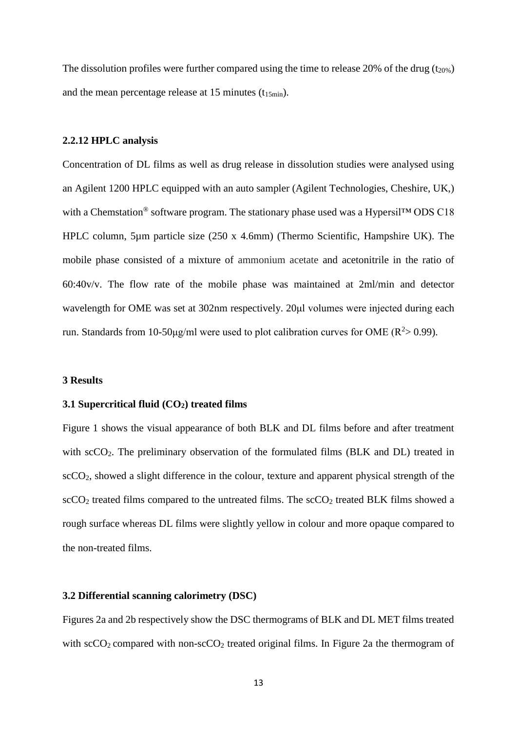The dissolution profiles were further compared using the time to release 20% of the drug  $(t_{20\%})$ and the mean percentage release at 15 minutes  $(t_15<sub>min</sub>)$ .

#### **2.2.12 HPLC analysis**

Concentration of DL films as well as drug release in dissolution studies were analysed using an Agilent 1200 HPLC equipped with an auto sampler (Agilent Technologies, Cheshire, UK,) with a Chemstation<sup>®</sup> software program. The stationary phase used was a Hypersil™ ODS C18 HPLC column, 5µm particle size (250 x 4.6mm) (Thermo Scientific, Hampshire UK). The mobile phase consisted of a mixture of ammonium acetate and acetonitrile in the ratio of 60:40v/v. The flow rate of the mobile phase was maintained at 2ml/min and detector wavelength for OME was set at 302nm respectively. 20µl volumes were injected during each run. Standards from 10-50µg/ml were used to plot calibration curves for OME ( $R^2 > 0.99$ ).

#### **3 Results**

#### **3.1 Supercritical fluid (CO2) treated films**

Figure 1 shows the visual appearance of both BLK and DL films before and after treatment with scCO<sub>2</sub>. The preliminary observation of the formulated films (BLK and DL) treated in scCO2, showed a slight difference in the colour, texture and apparent physical strength of the  $\rm{scCO}_{2}$  treated films compared to the untreated films. The  $\rm{scCO}_{2}$  treated BLK films showed a rough surface whereas DL films were slightly yellow in colour and more opaque compared to the non-treated films.

#### **3.2 Differential scanning calorimetry (DSC)**

Figures 2a and 2b respectively show the DSC thermograms of BLK and DL MET films treated with  $\secO_2$  compared with non- $\secO_2$  treated original films. In Figure 2a the thermogram of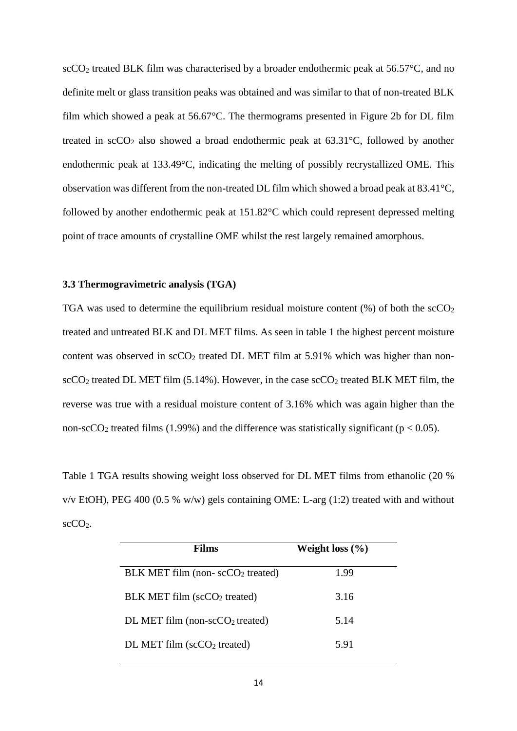$\rm{scCO}_{2}$  treated BLK film was characterised by a broader endothermic peak at 56.57 $\rm{°C}$ , and no definite melt or glass transition peaks was obtained and was similar to that of non-treated BLK film which showed a peak at 56.67°C. The thermograms presented in Figure 2b for DL film treated in  $\sec O_2$  also showed a broad endothermic peak at 63.31 $\degree$ C, followed by another endothermic peak at 133.49°C, indicating the melting of possibly recrystallized OME. This observation was different from the non-treated DL film which showed a broad peak at 83.41°C, followed by another endothermic peak at 151.82°C which could represent depressed melting point of trace amounts of crystalline OME whilst the rest largely remained amorphous.

#### **3.3 Thermogravimetric analysis (TGA)**

TGA was used to determine the equilibrium residual moisture content  $(\%)$  of both the  $\sec O_2$ treated and untreated BLK and DL MET films. As seen in table 1 the highest percent moisture content was observed in  $\sec O_2$  treated DL MET film at 5.91% which was higher than non- $\rm{scCO}_{2}$  treated DL MET film (5.14%). However, in the case  $\rm{scCO}_{2}$  treated BLK MET film, the reverse was true with a residual moisture content of 3.16% which was again higher than the non-scCO<sub>2</sub> treated films (1.99%) and the difference was statistically significant ( $p < 0.05$ ).

Table 1 TGA results showing weight loss observed for DL MET films from ethanolic (20 %  $v/v$  EtOH), PEG 400 (0.5 % w/w) gels containing OME: L-arg (1:2) treated with and without  $\text{scCO}_2$ .

| Films                                    | Weight loss $(\% )$ |
|------------------------------------------|---------------------|
| $BLK MET film (non-scCO2 treated)$       | 1.99                |
| BLK MET film (scCO <sub>2</sub> treated) | 3.16                |
| DL MET film (non-sc $CO2$ treated)       | 5.14                |
| $DL$ MET film (sc $CO2$ treated)         | 5.91                |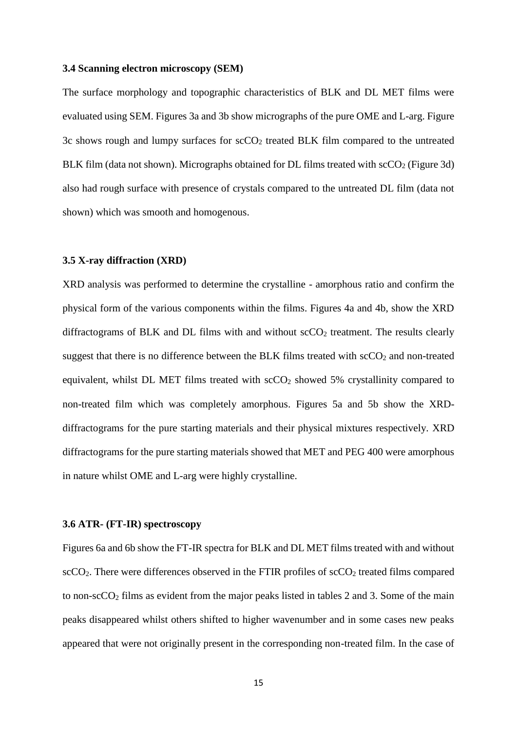#### **3.4 Scanning electron microscopy (SEM)**

The surface morphology and topographic characteristics of BLK and DL MET films were evaluated using SEM. Figures 3a and 3b show micrographs of the pure OME and L-arg. Figure 3c shows rough and lumpy surfaces for  $\sec O_2$  treated BLK film compared to the untreated BLK film (data not shown). Micrographs obtained for DL films treated with  $\secO<sub>2</sub>$  (Figure 3d) also had rough surface with presence of crystals compared to the untreated DL film (data not shown) which was smooth and homogenous.

#### **3.5 X-ray diffraction (XRD)**

XRD analysis was performed to determine the crystalline - amorphous ratio and confirm the physical form of the various components within the films. Figures 4a and 4b, show the XRD diffractograms of BLK and DL films with and without  $\sec O_2$  treatment. The results clearly suggest that there is no difference between the BLK films treated with  $\sec O_2$  and non-treated equivalent, whilst DL MET films treated with  $\sec O_2$  showed 5% crystallinity compared to non-treated film which was completely amorphous. Figures 5a and 5b show the XRDdiffractograms for the pure starting materials and their physical mixtures respectively. XRD diffractograms for the pure starting materials showed that MET and PEG 400 were amorphous in nature whilst OME and L-arg were highly crystalline.

#### **3.6 ATR- (FT-IR) spectroscopy**

Figures 6a and 6b show the FT-IR spectra for BLK and DL MET films treated with and without  $\sec CO_2$ . There were differences observed in the FTIR profiles of  $\sec CO_2$  treated films compared to non-sc $CO<sub>2</sub>$  films as evident from the major peaks listed in tables 2 and 3. Some of the main peaks disappeared whilst others shifted to higher wavenumber and in some cases new peaks appeared that were not originally present in the corresponding non-treated film. In the case of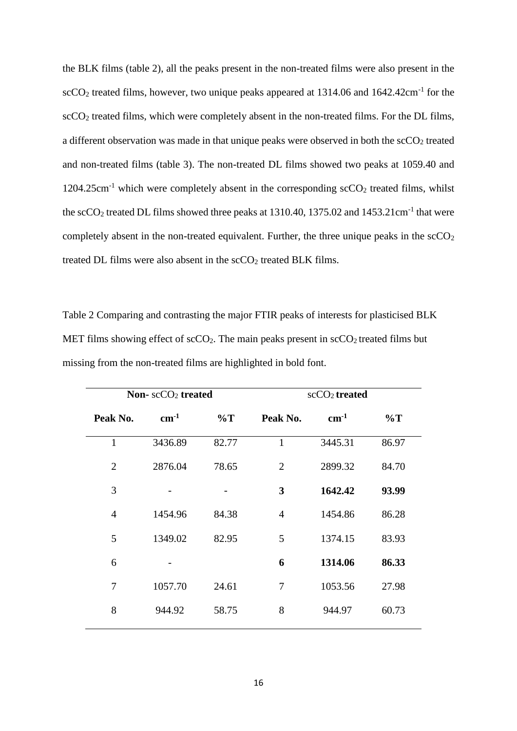the BLK films (table 2), all the peaks present in the non-treated films were also present in the scCO<sub>2</sub> treated films, however, two unique peaks appeared at  $1314.06$  and  $1642.42 \text{cm}^{-1}$  for the scCO<sub>2</sub> treated films, which were completely absent in the non-treated films. For the DL films, a different observation was made in that unique peaks were observed in both the  $\sec O_2$  treated and non-treated films (table 3). The non-treated DL films showed two peaks at 1059.40 and  $1204.25 \text{cm}^{-1}$  which were completely absent in the corresponding scCO<sub>2</sub> treated films, whilst the  $\rm{scCO}_2$  treated DL films showed three peaks at 1310.40, 1375.02 and 1453.21cm<sup>-1</sup> that were completely absent in the non-treated equivalent. Further, the three unique peaks in the  $\text{scCO}_2$ treated DL films were also absent in the  $\rm{scCO_2}$  treated BLK films.

Table 2 Comparing and contrasting the major FTIR peaks of interests for plasticised BLK MET films showing effect of  $\text{scCO}_2$ . The main peaks present in  $\text{scCO}_2$  treated films but missing from the non-treated films are highlighted in bold font.

| Non- $scCO2$ treated |         | $scCO2$ treated |                |           |       |
|----------------------|---------|-----------------|----------------|-----------|-------|
| Peak No.             | $cm-1$  | $\%T$           | Peak No.       | $cm^{-1}$ | $\%T$ |
| $\mathbf{1}$         | 3436.89 | 82.77           | $\mathbf{1}$   | 3445.31   | 86.97 |
| $\overline{2}$       | 2876.04 | 78.65           | $\overline{2}$ | 2899.32   | 84.70 |
| 3                    |         |                 | 3              | 1642.42   | 93.99 |
| $\overline{4}$       | 1454.96 | 84.38           | $\overline{4}$ | 1454.86   | 86.28 |
| 5                    | 1349.02 | 82.95           | 5              | 1374.15   | 83.93 |
| 6                    |         |                 | 6              | 1314.06   | 86.33 |
| 7                    | 1057.70 | 24.61           | 7              | 1053.56   | 27.98 |
| 8                    | 944.92  | 58.75           | 8              | 944.97    | 60.73 |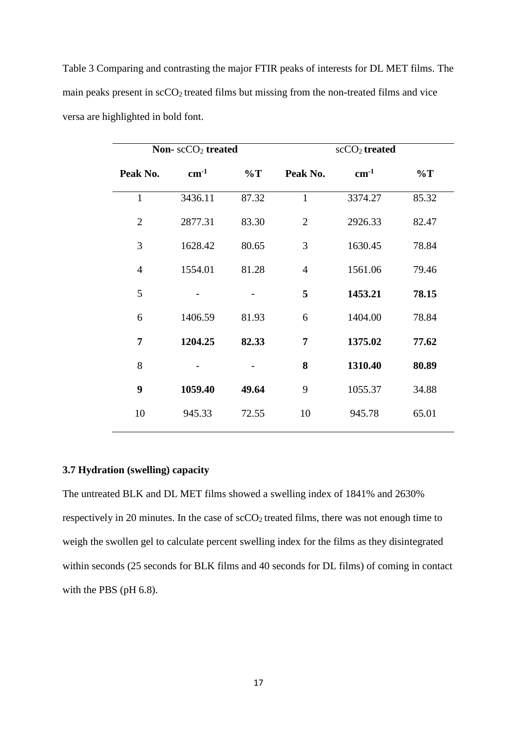| Non- $scCO2$ treated |           |       | $scCO2$ treated |           |       |
|----------------------|-----------|-------|-----------------|-----------|-------|
| Peak No.             | $cm^{-1}$ | $\%T$ | Peak No.        | $cm^{-1}$ | $\%T$ |
| $\mathbf{1}$         | 3436.11   | 87.32 | $\mathbf{1}$    | 3374.27   | 85.32 |
| $\overline{2}$       | 2877.31   | 83.30 | $\overline{2}$  | 2926.33   | 82.47 |
| 3                    | 1628.42   | 80.65 | 3               | 1630.45   | 78.84 |
| 4                    | 1554.01   | 81.28 | $\overline{4}$  | 1561.06   | 79.46 |
| 5                    |           |       | 5               | 1453.21   | 78.15 |
| 6                    | 1406.59   | 81.93 | 6               | 1404.00   | 78.84 |
| 7                    | 1204.25   | 82.33 | 7               | 1375.02   | 77.62 |
| 8                    |           |       | 8               | 1310.40   | 80.89 |
| 9                    | 1059.40   | 49.64 | 9               | 1055.37   | 34.88 |
| 10                   | 945.33    | 72.55 | 10              | 945.78    | 65.01 |

Table 3 Comparing and contrasting the major FTIR peaks of interests for DL MET films. The main peaks present in  $\sec O_2$  treated films but missing from the non-treated films and vice versa are highlighted in bold font.

#### **3.7 Hydration (swelling) capacity**

The untreated BLK and DL MET films showed a swelling index of 1841% and 2630% respectively in 20 minutes. In the case of  $\frac{\text{cCO}_2}{\text{treated films}}$ , there was not enough time to weigh the swollen gel to calculate percent swelling index for the films as they disintegrated within seconds (25 seconds for BLK films and 40 seconds for DL films) of coming in contact with the PBS (pH 6.8).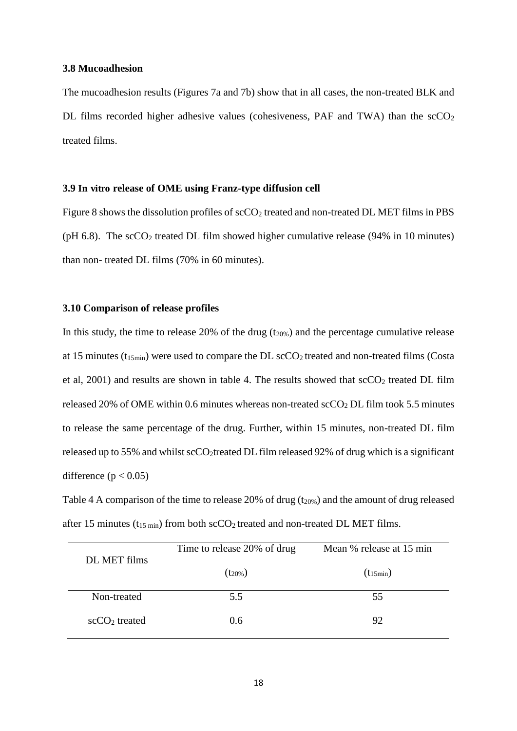#### **3.8 Mucoadhesion**

The mucoadhesion results (Figures 7a and 7b) show that in all cases, the non-treated BLK and DL films recorded higher adhesive values (cohesiveness, PAF and TWA) than the  $\rm{scCO}_{2}$ treated films.

#### **3.9 In vitro release of OME using Franz-type diffusion cell**

Figure 8 shows the dissolution profiles of scCO<sub>2</sub> treated and non-treated DL MET films in PBS (pH 6.8). The  $\text{scCO}_2$  treated DL film showed higher cumulative release (94% in 10 minutes) than non- treated DL films (70% in 60 minutes).

#### **3.10 Comparison of release profiles**

In this study, the time to release 20% of the drug  $(t_{20\%})$  and the percentage cumulative release at 15 minutes ( $t_{15min}$ ) were used to compare the DL scCO<sub>2</sub> treated and non-treated films (Costa et al,  $2001$ ) and results are shown in table 4. The results showed that  $\sec O_2$  treated DL film released 20% of OME within 0.6 minutes whereas non-treated scCO2 DL film took 5.5 minutes to release the same percentage of the drug. Further, within 15 minutes, non-treated DL film released up to 55% and whilst scCO<sub>2</sub>treated DL film released 92% of drug which is a significant difference  $(p < 0.05)$ 

Table 4 A comparison of the time to release 20% of drug ( $t_{20\%}$ ) and the amount of drug released after 15 minutes ( $t_{15 \text{ min}}$ ) from both scCO<sub>2</sub> treated and non-treated DL MET films.

| DL MET films        | Time to release 20% of drug | Mean % release at 15 min |  |
|---------------------|-----------------------------|--------------------------|--|
|                     | $(t_{20\%})$                | $(t_{15min})$            |  |
| Non-treated         | 5.5                         | 55                       |  |
| $\sec CO_2$ treated | 0.6                         | 92                       |  |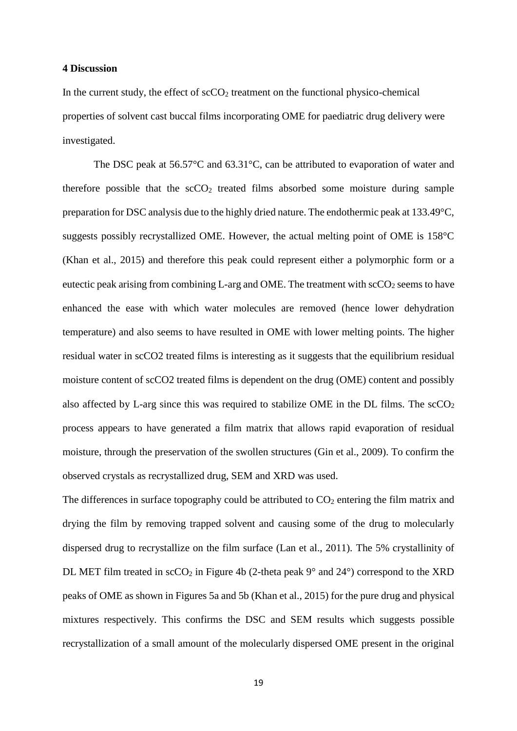#### **4 Discussion**

In the current study, the effect of  $\text{scCO}_2$  treatment on the functional physico-chemical properties of solvent cast buccal films incorporating OME for paediatric drug delivery were investigated.

The DSC peak at 56.57°C and 63.31°C, can be attributed to evaporation of water and therefore possible that the  $\sec 0<sub>2</sub>$  treated films absorbed some moisture during sample preparation for DSC analysis due to the highly dried nature. The endothermic peak at 133.49°C, suggests possibly recrystallized OME. However, the actual melting point of OME is 158°C (Khan et al., 2015) and therefore this peak could represent either a polymorphic form or a eutectic peak arising from combining L-arg and OME. The treatment with  $\rm{scCO}_{2}$  seems to have enhanced the ease with which water molecules are removed (hence lower dehydration temperature) and also seems to have resulted in OME with lower melting points. The higher residual water in scCO2 treated films is interesting as it suggests that the equilibrium residual moisture content of scCO2 treated films is dependent on the drug (OME) content and possibly also affected by L-arg since this was required to stabilize OME in the DL films. The  $\sec O_2$ process appears to have generated a film matrix that allows rapid evaporation of residual moisture, through the preservation of the swollen structures (Gin et al., 2009). To confirm the observed crystals as recrystallized drug, SEM and XRD was used.

The differences in surface topography could be attributed to  $CO<sub>2</sub>$  entering the film matrix and drying the film by removing trapped solvent and causing some of the drug to molecularly dispersed drug to recrystallize on the film surface (Lan et al., 2011). The 5% crystallinity of DL MET film treated in  $\sec 0_2$  in Figure 4b (2-theta peak 9 $\degree$  and 24 $\degree$ ) correspond to the XRD peaks of OME as shown in Figures 5a and 5b (Khan et al., 2015) for the pure drug and physical mixtures respectively. This confirms the DSC and SEM results which suggests possible recrystallization of a small amount of the molecularly dispersed OME present in the original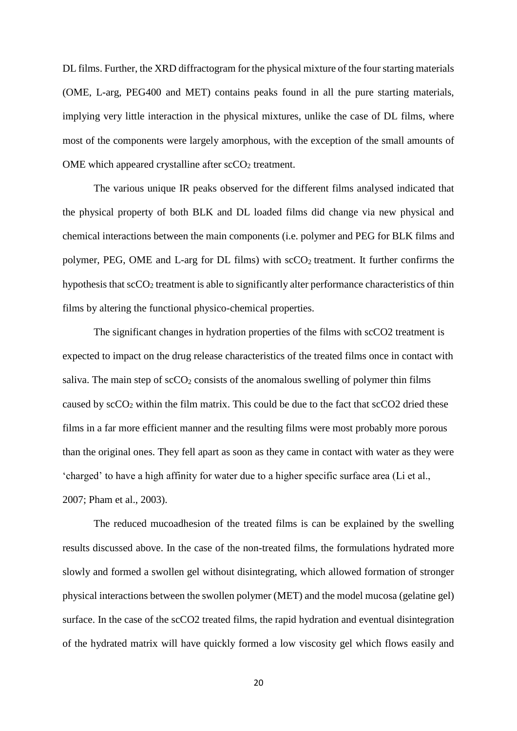DL films. Further, the XRD diffractogram for the physical mixture of the four starting materials (OME, L-arg, PEG400 and MET) contains peaks found in all the pure starting materials, implying very little interaction in the physical mixtures, unlike the case of DL films, where most of the components were largely amorphous, with the exception of the small amounts of OME which appeared crystalline after  $\mathrm{scCO}_2$  treatment.

The various unique IR peaks observed for the different films analysed indicated that the physical property of both BLK and DL loaded films did change via new physical and chemical interactions between the main components (i.e. polymer and PEG for BLK films and polymer, PEG, OME and L-arg for DL films) with  $\sec O_2$  treatment. It further confirms the hypothesis that  $\sec 0_2$  treatment is able to significantly alter performance characteristics of thin films by altering the functional physico-chemical properties.

The significant changes in hydration properties of the films with scCO2 treatment is expected to impact on the drug release characteristics of the treated films once in contact with saliva. The main step of  $\frac{\text{scCO}_2}{\text{consists}}$  of the anomalous swelling of polymer thin films caused by  $\sec O_2$  within the film matrix. This could be due to the fact that  $\sec O_2$  dried these films in a far more efficient manner and the resulting films were most probably more porous than the original ones. They fell apart as soon as they came in contact with water as they were 'charged' to have a high affinity for water due to a higher specific surface area (Li et al., 2007; Pham et al., 2003).

The reduced mucoadhesion of the treated films is can be explained by the swelling results discussed above. In the case of the non-treated films, the formulations hydrated more slowly and formed a swollen gel without disintegrating, which allowed formation of stronger physical interactions between the swollen polymer (MET) and the model mucosa (gelatine gel) surface. In the case of the scCO2 treated films, the rapid hydration and eventual disintegration of the hydrated matrix will have quickly formed a low viscosity gel which flows easily and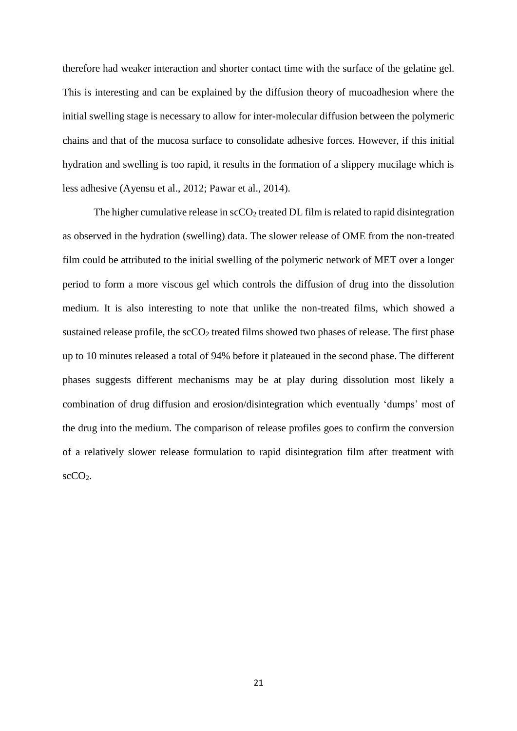therefore had weaker interaction and shorter contact time with the surface of the gelatine gel. This is interesting and can be explained by the diffusion theory of mucoadhesion where the initial swelling stage is necessary to allow for inter-molecular diffusion between the polymeric chains and that of the mucosa surface to consolidate adhesive forces. However, if this initial hydration and swelling is too rapid, it results in the formation of a slippery mucilage which is less adhesive (Ayensu et al., 2012; Pawar et al., 2014).

The higher cumulative release in  $\rm{sCCO}_2$  treated DL film is related to rapid disintegration as observed in the hydration (swelling) data. The slower release of OME from the non-treated film could be attributed to the initial swelling of the polymeric network of MET over a longer period to form a more viscous gel which controls the diffusion of drug into the dissolution medium. It is also interesting to note that unlike the non-treated films, which showed a sustained release profile, the  $\sec O_2$  treated films showed two phases of release. The first phase up to 10 minutes released a total of 94% before it plateaued in the second phase. The different phases suggests different mechanisms may be at play during dissolution most likely a combination of drug diffusion and erosion/disintegration which eventually 'dumps' most of the drug into the medium. The comparison of release profiles goes to confirm the conversion of a relatively slower release formulation to rapid disintegration film after treatment with scCO2.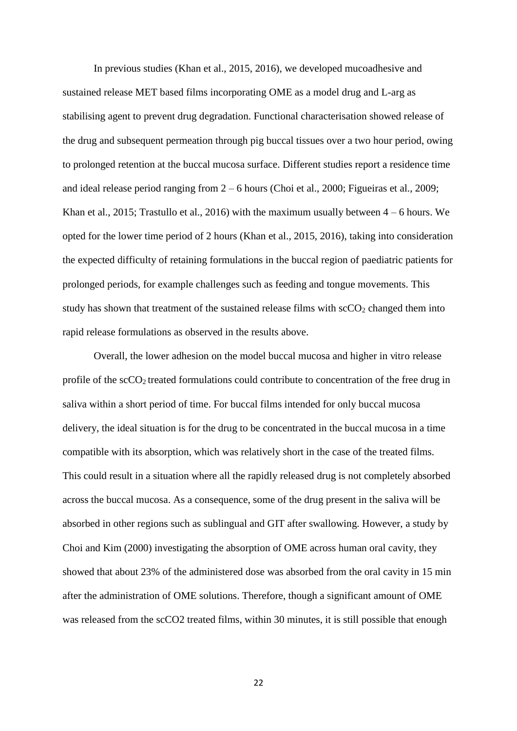In previous studies (Khan et al., 2015, 2016), we developed mucoadhesive and sustained release MET based films incorporating OME as a model drug and L-arg as stabilising agent to prevent drug degradation. Functional characterisation showed release of the drug and subsequent permeation through pig buccal tissues over a two hour period, owing to prolonged retention at the buccal mucosa surface. Different studies report a residence time and ideal release period ranging from 2 – 6 hours (Choi et al., 2000; Figueiras et al., 2009; Khan et al., 2015; Trastullo et al., 2016) with the maximum usually between  $4 - 6$  hours. We opted for the lower time period of 2 hours (Khan et al., 2015, 2016), taking into consideration the expected difficulty of retaining formulations in the buccal region of paediatric patients for prolonged periods, for example challenges such as feeding and tongue movements. This study has shown that treatment of the sustained release films with  $\sec O_2$  changed them into rapid release formulations as observed in the results above.

Overall, the lower adhesion on the model buccal mucosa and higher in vitro release profile of the scCO<sub>2</sub> treated formulations could contribute to concentration of the free drug in saliva within a short period of time. For buccal films intended for only buccal mucosa delivery, the ideal situation is for the drug to be concentrated in the buccal mucosa in a time compatible with its absorption, which was relatively short in the case of the treated films. This could result in a situation where all the rapidly released drug is not completely absorbed across the buccal mucosa. As a consequence, some of the drug present in the saliva will be absorbed in other regions such as sublingual and GIT after swallowing. However, a study by Choi and Kim (2000) investigating the absorption of OME across human oral cavity, they showed that about 23% of the administered dose was absorbed from the oral cavity in 15 min after the administration of OME solutions. Therefore, though a significant amount of OME was released from the scCO2 treated films, within 30 minutes, it is still possible that enough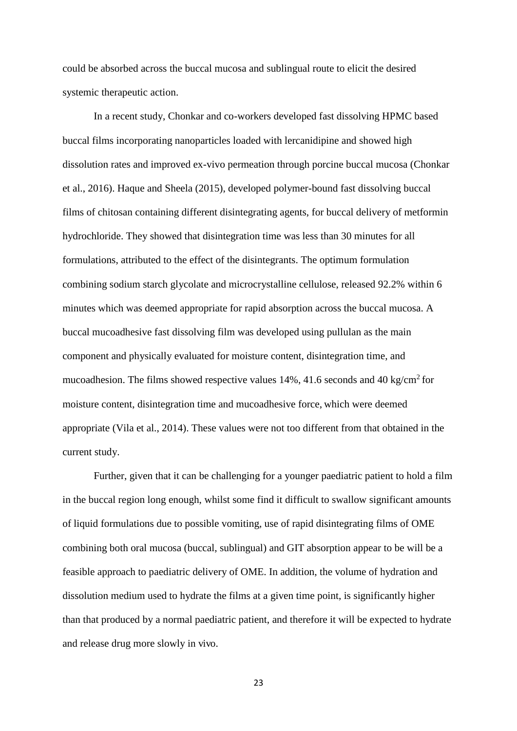could be absorbed across the buccal mucosa and sublingual route to elicit the desired systemic therapeutic action.

In a recent study, Chonkar and co-workers developed fast dissolving HPMC based buccal films incorporating nanoparticles loaded with lercanidipine and showed high dissolution rates and improved ex-vivo permeation through porcine buccal mucosa (Chonkar et al., 2016). Haque and Sheela (2015), developed polymer-bound fast dissolving buccal films of chitosan containing different disintegrating agents, for buccal delivery of metformin hydrochloride. They showed that disintegration time was less than 30 minutes for all formulations, attributed to the effect of the disintegrants. The optimum formulation combining sodium starch glycolate and microcrystalline cellulose, released 92.2% within 6 minutes which was deemed appropriate for rapid absorption across the buccal mucosa. A buccal mucoadhesive fast dissolving film was developed using pullulan as the main component and physically evaluated for moisture content, disintegration time, and mucoadhesion. The films showed respective values  $14\%$ ,  $41.6$  seconds and  $40$  kg/cm<sup>2</sup> for moisture content, disintegration time and mucoadhesive force, which were deemed appropriate (Vila et al., 2014). These values were not too different from that obtained in the current study.

Further, given that it can be challenging for a younger paediatric patient to hold a film in the buccal region long enough, whilst some find it difficult to swallow significant amounts of liquid formulations due to possible vomiting, use of rapid disintegrating films of OME combining both oral mucosa (buccal, sublingual) and GIT absorption appear to be will be a feasible approach to paediatric delivery of OME. In addition, the volume of hydration and dissolution medium used to hydrate the films at a given time point, is significantly higher than that produced by a normal paediatric patient, and therefore it will be expected to hydrate and release drug more slowly in vivo.

23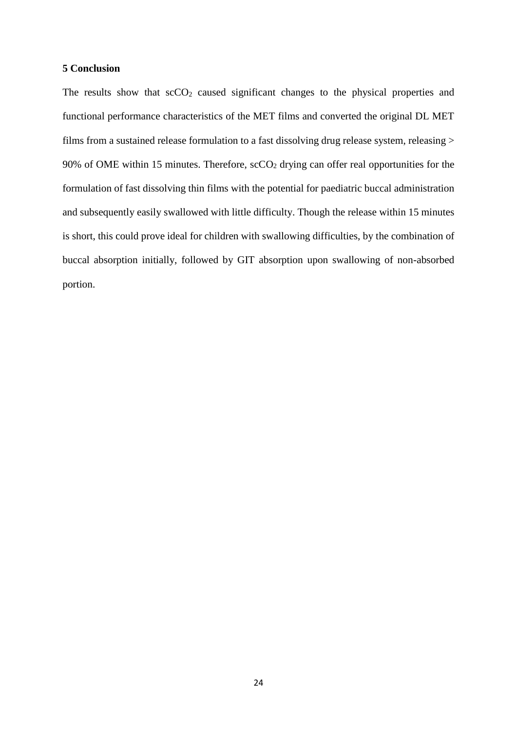#### **5 Conclusion**

The results show that  $\sec O_2$  caused significant changes to the physical properties and functional performance characteristics of the MET films and converted the original DL MET films from a sustained release formulation to a fast dissolving drug release system, releasing > 90% of OME within 15 minutes. Therefore,  $\sec O_2$  drying can offer real opportunities for the formulation of fast dissolving thin films with the potential for paediatric buccal administration and subsequently easily swallowed with little difficulty. Though the release within 15 minutes is short, this could prove ideal for children with swallowing difficulties, by the combination of buccal absorption initially, followed by GIT absorption upon swallowing of non-absorbed portion.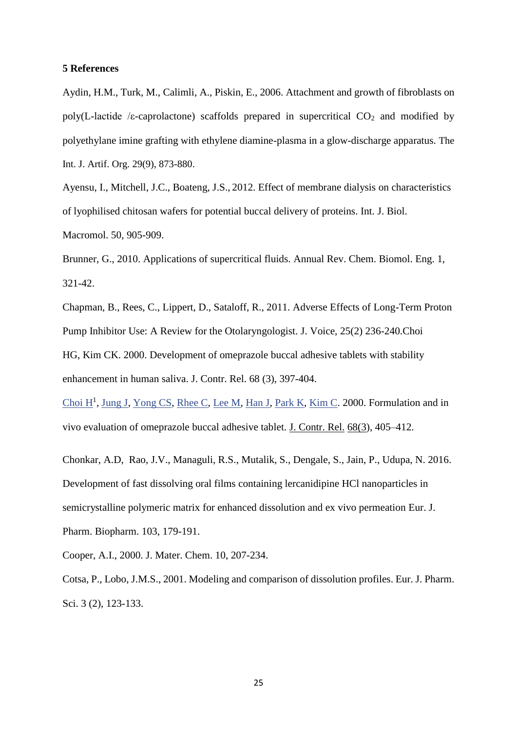#### **5 References**

Aydin, H.M., Turk, M., Calimli, A., Piskin, E., 2006. Attachment and growth of fibroblasts on poly(L-lactide /ε-caprolactone) scaffolds prepared in supercritical  $CO<sub>2</sub>$  and modified by polyethylane imine grafting with ethylene diamine-plasma in a glow-discharge apparatus. The Int. J. Artif. Org. 29(9), 873-880.

Ayensu, I., Mitchell, J.C., Boateng, J.S., 2012. Effect of membrane dialysis on characteristics of lyophilised chitosan wafers for potential buccal delivery of proteins. Int. J. Biol. Macromol. 50, 905-909.

[Brunner, G.](http://www.ncbi.nlm.nih.gov/pubmed/?term=Brunner%20G%5BAuthor%5D&cauthor=true&cauthor_uid=22432584), 2010. Applications of supercritical fluids. [Annual Rev. Chem. Biomol. Eng.](http://www.ncbi.nlm.nih.gov/pubmed/22432584) 1, 321-42.

Chapman, B., Rees, C., Lippert, D., Sataloff, R., 2011. Adverse Effects of Long-Term Proton Pump Inhibitor Use: A Review for the Otolaryngologist. J. Voice, 25(2) 236-240[.Choi](http://www.ncbi.nlm.nih.gov/pubmed/?term=Choi%20HG%5BAuthor%5D&cauthor=true&cauthor_uid=10974393)  [HG,](http://www.ncbi.nlm.nih.gov/pubmed/?term=Choi%20HG%5BAuthor%5D&cauthor=true&cauthor_uid=10974393) [Kim CK.](http://www.ncbi.nlm.nih.gov/pubmed/?term=Kim%20CK%5BAuthor%5D&cauthor=true&cauthor_uid=10974393) 2000. Development of omeprazole buccal adhesive tablets with stability enhancement in human saliva. J. Contr. Rel. 68 (3), 397-404.

Choi  $H^1$ , [Jung J,](http://www.ncbi.nlm.nih.gov/pubmed/?term=Jung%20J%5BAuthor%5D&cauthor=true&cauthor_uid=10974394) [Yong CS,](http://www.ncbi.nlm.nih.gov/pubmed/?term=Yong%20CS%5BAuthor%5D&cauthor=true&cauthor_uid=10974394) [Rhee C,](http://www.ncbi.nlm.nih.gov/pubmed/?term=Rhee%20C%5BAuthor%5D&cauthor=true&cauthor_uid=10974394) [Lee M,](http://www.ncbi.nlm.nih.gov/pubmed/?term=Lee%20M%5BAuthor%5D&cauthor=true&cauthor_uid=10974394) [Han J,](http://www.ncbi.nlm.nih.gov/pubmed/?term=Han%20J%5BAuthor%5D&cauthor=true&cauthor_uid=10974394) [Park K,](http://www.ncbi.nlm.nih.gov/pubmed/?term=Park%20K%5BAuthor%5D&cauthor=true&cauthor_uid=10974394) [Kim C.](http://www.ncbi.nlm.nih.gov/pubmed/?term=Kim%20C%5BAuthor%5D&cauthor=true&cauthor_uid=10974394) 2000. Formulation and in vivo evaluation of omeprazole buccal adhesive tablet. [J. Contr. Rel.](http://www.sciencedirect.com/science/journal/01683659) [68\(3\)](http://www.sciencedirect.com/science/journal/01683659/68/3), 405–412.

[Chonkar, A.D,](https://www-scopus-com.scopeesprx.elsevier.com/authid/detail.uri?authorId=55632561300&eid=2-s2.0-84962920194) Rao, J.V., [Managuli, R.S.,](https://www-scopus-com.scopeesprx.elsevier.com/authid/detail.uri?authorId=56549866100&eid=2-s2.0-84962920194) [Mutalik, S.,](https://www-scopus-com.scopeesprx.elsevier.com/authid/detail.uri?authorId=6603906837&eid=2-s2.0-84962920194) [Dengale, S.,](https://www-scopus-com.scopeesprx.elsevier.com/authid/detail.uri?authorId=55935687400&eid=2-s2.0-84962920194) [Jain, P.,](https://www-scopus-com.scopeesprx.elsevier.com/authid/detail.uri?authorId=36455845200&eid=2-s2.0-84962920194) [Udupa, N.](https://www-scopus-com.scopeesprx.elsevier.com/authid/detail.uri?authorId=7006758882&eid=2-s2.0-84962920194) 2016. Development of fast dissolving oral films containing lercanidipine HCl nanoparticles in semicrystalline polymeric matrix for enhanced dissolution and ex vivo permeation [Eur. J.](https://www-scopus-com.scopeesprx.elsevier.com/source/sourceInfo.uri?sourceId=21332&origin=recordpage)  [Pharm. Biopharm. 1](https://www-scopus-com.scopeesprx.elsevier.com/source/sourceInfo.uri?sourceId=21332&origin=recordpage)03, 179-191.

Cooper, A.I., 2000. J. Mater. Chem. 10, 207-234.

Cotsa, P., Lobo, J.M.S., 2001. Modeling and comparison of dissolution profiles. Eur. J. Pharm. Sci. 3 (2), 123-133.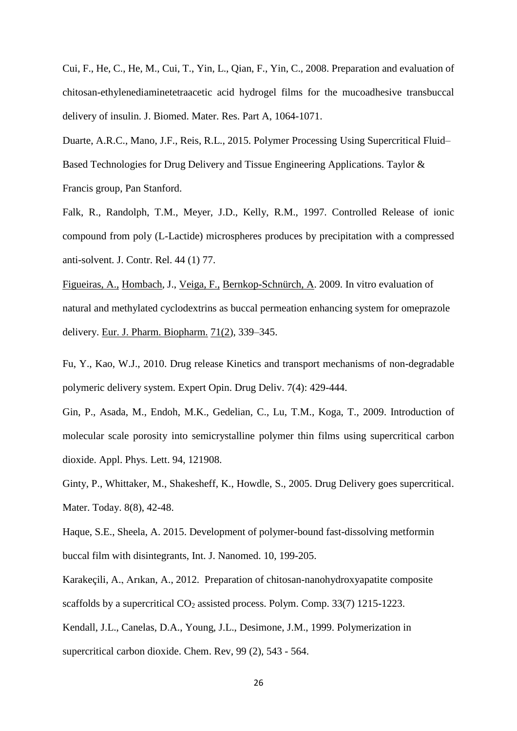Cui, F., He, C., He, M., Cui, T., Yin, L., Qian, F., Yin, C., 2008. Preparation and evaluation of chitosan-ethylenediaminetetraacetic acid hydrogel films for the mucoadhesive transbuccal delivery of insulin. J. Biomed. Mater. Res. Part A, 1064-1071.

Duarte, A.R.C., Mano, J.F., Reis, R.L., 2015. Polymer Processing Using Supercritical Fluid– Based Technologies for Drug Delivery and Tissue Engineering Applications. Taylor & Francis group, Pan Stanford.

Falk, R., Randolph, T.M., Meyer, J.D., Kelly, R.M., 1997. Controlled Release of ionic compound from poly (L-Lactide) microspheres produces by precipitation with a compressed anti-solvent. J. Contr. Rel. 44 (1) 77.

[Figueiras,](http://www.sciencedirect.com/science/article/pii/S093964110800324X) A., [Hombach,](http://www.sciencedirect.com/science/article/pii/S093964110800324X) J., [Veiga,](http://www.sciencedirect.com/science/article/pii/S093964110800324X) F., [Bernkop-Schnürch,](http://www.sciencedirect.com/science/article/pii/S093964110800324X) A. 2009. In vitro evaluation of natural and methylated cyclodextrins as buccal permeation enhancing system for omeprazole delivery. [Eur. J. Pharm. Biopharm.](http://www.sciencedirect.com/science/journal/09396411) [71\(2\)](http://www.sciencedirect.com/science/journal/09396411/71/2), 339–345.

Fu, Y., Kao, W.J., 2010. Drug release Kinetics and transport mechanisms of non-degradable polymeric delivery system. Expert Opin. Drug Deliv. 7(4): 429-444.

Gin, P., Asada, M., Endoh, M.K., Gedelian, C., Lu, T.M., Koga, T., 2009. Introduction of molecular scale porosity into semicrystalline polymer thin films using supercritical carbon dioxide. Appl. Phys. Lett. 94, 121908.

Ginty, P., Whittaker, M., Shakesheff, K., Howdle, S., 2005. Drug Delivery goes supercritical. Mater. Today. 8(8), 42-48.

[Haque, S.E.,](https://www-scopus-com.scopeesprx.elsevier.com/authid/detail.uri?authorId=56967658700&eid=2-s2.0-84947548991) [Sheela, A.](https://www-scopus-com.scopeesprx.elsevier.com/authid/detail.uri?authorId=55443299500&eid=2-s2.0-84947548991) 2015. Development of polymer-bound fast-dissolving metformin buccal film with disintegrants, [Int. J. Nanomed. 1](https://www-scopus-com.scopeesprx.elsevier.com/source/sourceInfo.uri?sourceId=7700153108&origin=recordpage)0, 199-205.

Karakeçili, A., Arıkan, A., 2012. Preparation of chitosan-nanohydroxyapatite composite scaffolds by a supercritical  $CO<sub>2</sub>$  assisted process. Polym. Comp. 33(7) 1215-1223. Kendall, J.L., Canelas, D.A., Young, J.L., Desimone, J.M., 1999. Polymerization in supercritical carbon dioxide. Chem. Rev, 99 (2), 543 - 564.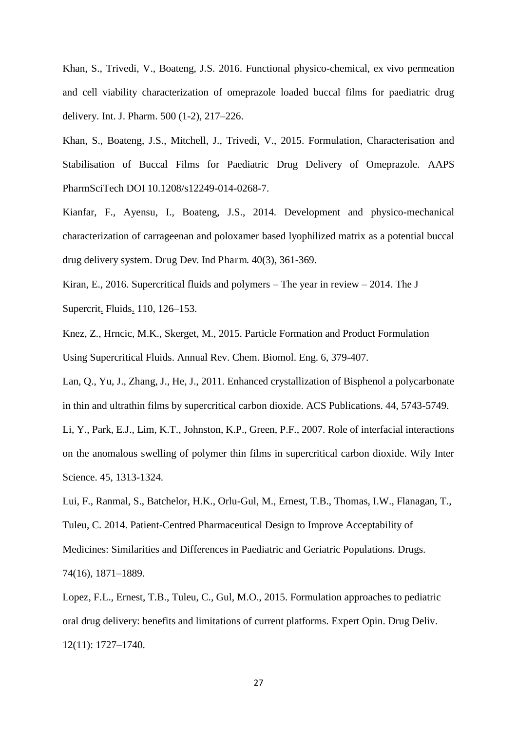Khan, S., Trivedi, V., Boateng, J.S. 2016. Functional physico-chemical, ex vivo permeation and cell viability characterization of omeprazole loaded buccal films for paediatric drug delivery. Int. J. Pharm. 500 (1-2), 217–226.

Khan, S., Boateng, J.S., Mitchell, J., Trivedi, V., 2015. Formulation, Characterisation and Stabilisation of Buccal Films for Paediatric Drug Delivery of Omeprazole. AAPS PharmSciTech DOI 10.1208/s12249-014-0268-7.

Kianfar, F., Ayensu, I., Boateng, J.S., 2014. Development and physico-mechanical characterization of carrageenan and poloxamer based lyophilized matrix as a potential buccal drug delivery system. Drug Dev. Ind Pharm. 40(3), 361-369.

Kiran, [E.](http://www.sciencedirect.com/science/article/pii/S0896844615301844), 2016. Supercritical fluids and polymers – The year in review – 2014. [The J](http://www.sciencedirect.com/science/journal/08968446)  [Supercrit](http://www.sciencedirect.com/science/journal/08968446). Fluids. [110,](http://www.sciencedirect.com/science/journal/08968446/110/supp/C) 126–153.

Knez, Z., Hrncic, M.K., Skerget, M., 2015. Particle Formation and Product Formulation Using Supercritical Fluids. Annual Rev. Chem. Biomol. Eng. 6, 379-407.

Lan, Q., Yu, J., Zhang, J., He, J., 2011. Enhanced crystallization of Bisphenol a polycarbonate in thin and ultrathin films by supercritical carbon dioxide. ACS Publications. 44, 5743-5749.

Li, Y., Park, E.J., Lim, K.T., Johnston, K.P., Green, P.F., 2007. Role of interfacial interactions on the anomalous swelling of polymer thin films in supercritical carbon dioxide. Wily Inter Science. 45, 1313-1324.

Lui, F., Ranmal, S., Batchelor, H.K., Orlu-Gul, M., Ernest, T.B., Thomas, I.W., Flanagan, T., Tuleu, C. 2014. Patient-Centred Pharmaceutical Design to Improve Acceptability of Medicines: Similarities and Differences in Paediatric and Geriatric Populations. Drugs. 74(16), 1871–1889.

Lopez, F.L., Ernest, T.B., Tuleu, C., Gul, M.O., 2015. Formulation approaches to pediatric oral drug delivery: benefits and limitations of current platforms. Expert Opin. Drug Deliv. 12(11): 1727–1740.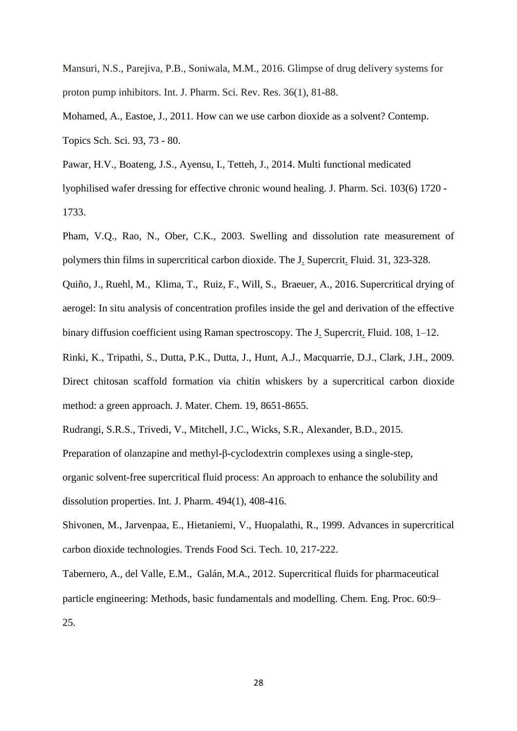Mansuri, N.S., Parejiva, P.B., Soniwala, M.M., 2016. Glimpse of drug delivery systems for proton pump inhibitors. Int. J. Pharm. Sci. Rev. Res. 36(1), 81-88.

Mohamed, A., Eastoe, J., 2011. How can we use carbon dioxide as a solvent? Contemp. Topics Sch. Sci. 93, 73 - 80.

Pawar, H.V., Boateng, J.S., Ayensu, I., Tetteh, J., 2014. Multi functional medicated lyophilised wafer dressing for effective chronic wound healing. J. Pharm. Sci. 103(6) 1720 - 1733.

Pham, V.Q., Rao, N., Ober, C.K., 2003. Swelling and dissolution rate measurement of polymers thin films in supercritical carbon dioxide. [The J. Supercrit. Fluid.](http://www.sciencedirect.com/science/journal/08968446) 31, 323-328.

[Quiño,](http://www.sciencedirect.com/science/article/pii/S089684461530156X) J., Ruehl, [M.](http://www.sciencedirect.com/science/article/pii/S089684461530156X), [Klima,](http://www.sciencedirect.com/science/article/pii/S089684461530156X) T., [Ruiz,](http://www.sciencedirect.com/science/article/pii/S089684461530156X) F., [Will,](http://www.sciencedirect.com/science/article/pii/S089684461530156X) S., [Braeuer,](http://www.sciencedirect.com/science/article/pii/S089684461530156X) A., 2016. Supercritical drying of aerogel: In situ analysis of concentration profiles inside the gel and derivation of the effective binary diffusion coefficient using Raman spectroscopy. The J. [Supercrit](http://www.sciencedirect.com/science/journal/08968446). Fluid. [108,](http://www.sciencedirect.com/science/journal/08968446/108/supp/C) 1-12.

Rinki, K., Tripathi, S., Dutta, P.K., Dutta, J., Hunt, A.J., Macquarrie, D.J., Clark, J.H., 2009. Direct chitosan scaffold formation via chitin whiskers by a supercritical carbon dioxide method: a green approach. J. Mater. Chem. 19, 8651-8655.

Rudrangi, S.R.S., Trivedi, V., Mitchell, J.C., Wicks, S.R., Alexander, B.D., 2015.

Preparation of olanzapine and methyl-β[-cyclodextrin complexes using a single-step,](http://www.sciencedirect.com/science/article/pii/S0378517315301599) 

[organic solvent-free supercritical fluid process: An approach to enhance the solubility and](http://www.sciencedirect.com/science/article/pii/S0378517315301599)  [dissolution properties.](http://www.sciencedirect.com/science/article/pii/S0378517315301599) Int. J. Pharm. 494(1), 408-416.

Shivonen, M., Jarvenpaa, E., Hietaniemi, V., Huopalathi, R., 1999. Advances in supercritical carbon dioxide technologies. Trends Food Sci. Tech. 10, 217-222.

[Tabernero,](https://www.researchgate.net/profile/Antonio_Tabernero2) A., [del Valle,](https://www.researchgate.net/profile/Eva_Martin_del_Valle) E.M., [Galán,](https://www.researchgate.net/profile/Miguel_Galan2) M.A., 2012. Supercritical fluids for pharmaceutical particle engineering: Methods, basic fundamentals and modelling. Chem. Eng. Proc. 60:9– 25.

28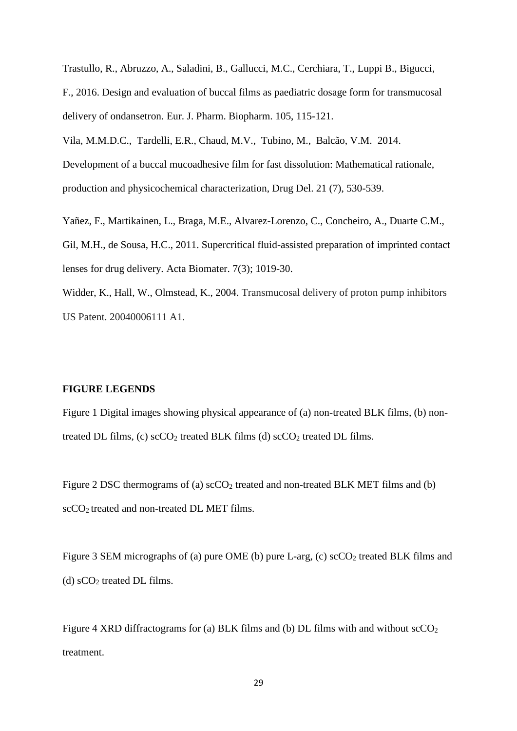Trastullo, R., Abruzzo, A., Saladini, B., Gallucci, M.C., Cerchiara, T., Luppi B., Bigucci, F., 2016. Design and evaluation of buccal films as paediatric dosage form for transmucosal delivery of ondansetron. Eur. J. Pharm. Biopharm. 105, 115-121.

[Vila, M.M.D.C.,](https://www-scopus-com.scopeesprx.elsevier.com/authid/detail.uri?authorId=7103149906&eid=2-s2.0-84910005990) [Tardelli, E.R.,](https://www-scopus-com.scopeesprx.elsevier.com/authid/detail.uri?authorId=56413022800&eid=2-s2.0-84910005990) [Chaud, M.V.,](https://www-scopus-com.scopeesprx.elsevier.com/authid/detail.uri?authorId=8845188500&eid=2-s2.0-84910005990) [Tubino, M.,](https://www-scopus-com.scopeesprx.elsevier.com/authid/detail.uri?authorId=7003544483&eid=2-s2.0-84910005990) [Balcão, V.M.](https://www-scopus-com.scopeesprx.elsevier.com/authid/detail.uri?authorId=6603449856&eid=2-s2.0-84910005990) 2014.

Development of a buccal mucoadhesive film for fast dissolution: Mathematical rationale, production and physicochemical characterization, [Drug Del.](https://www-scopus-com.scopeesprx.elsevier.com/source/sourceInfo.uri?sourceId=20770&origin=recordpage) 21 (7), 530-539.

[Yañez, F.](http://www.ncbi.nlm.nih.gov/pubmed/?term=Ya%C3%B1ez%20F%5BAuthor%5D&cauthor=true&cauthor_uid=20934541), [Martikainen, L.](http://www.ncbi.nlm.nih.gov/pubmed/?term=Martikainen%20L%5BAuthor%5D&cauthor=true&cauthor_uid=20934541), [Braga, M.E.](http://www.ncbi.nlm.nih.gov/pubmed/?term=Braga%20ME%5BAuthor%5D&cauthor=true&cauthor_uid=20934541), [Alvarez-Lorenzo, C.](http://www.ncbi.nlm.nih.gov/pubmed/?term=Alvarez-Lorenzo%20C%5BAuthor%5D&cauthor=true&cauthor_uid=20934541), [Concheiro, A.](http://www.ncbi.nlm.nih.gov/pubmed/?term=Concheiro%20A%5BAuthor%5D&cauthor=true&cauthor_uid=20934541), [Duarte C.M.](http://www.ncbi.nlm.nih.gov/pubmed/?term=Duarte%20CM%5BAuthor%5D&cauthor=true&cauthor_uid=20934541), [Gil, M.H.](http://www.ncbi.nlm.nih.gov/pubmed/?term=Gil%20MH%5BAuthor%5D&cauthor=true&cauthor_uid=20934541), [de Sousa, H.C.](http://www.ncbi.nlm.nih.gov/pubmed/?term=de%20Sousa%20HC%5BAuthor%5D&cauthor=true&cauthor_uid=20934541), 2011. Supercritical fluid-assisted preparation of imprinted contact lenses for drug delivery. [Acta Biomater.](http://www.ncbi.nlm.nih.gov/pubmed/20934541) 7(3); 1019-30.

Widder, K., Hall, W., Olmstead, K., 2004. Transmucosal delivery of proton pump inhibitors US Patent. 20040006111 A1.

#### **FIGURE LEGENDS**

Figure 1 Digital images showing physical appearance of (a) non-treated BLK films, (b) nontreated DL films, (c)  $\sec O_2$  treated BLK films (d)  $\sec O_2$  treated DL films.

Figure 2 DSC thermograms of (a)  $\sec O_2$  treated and non-treated BLK MET films and (b)  $\text{scCO}_2$  treated and non-treated DL MET films.

Figure 3 SEM micrographs of (a) pure OME (b) pure L-arg, (c)  $\sec O_2$  treated BLK films and (d)  $\mathrm{sCO}_2$  treated DL films.

Figure 4 XRD diffractograms for (a) BLK films and (b) DL films with and without  $\sec O_2$ treatment.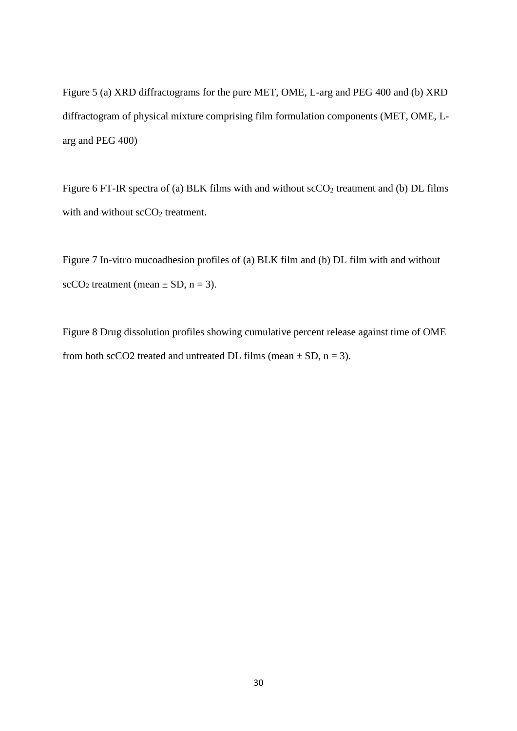Figure 5 (a) XRD diffractograms for the pure MET, OME, L-arg and PEG 400 and (b) XRD diffractogram of physical mixture comprising film formulation components (MET, OME, Larg and PEG 400)

Figure 6 FT-IR spectra of (a) BLK films with and without  $\sec O_2$  treatment and (b) DL films with and without scCO<sub>2</sub> treatment.

Figure 7 In-vitro mucoadhesion profiles of (a) BLK film and (b) DL film with and without  $scCO<sub>2</sub>$  treatment (mean  $\pm$  SD, n = 3).

Figure 8 Drug dissolution profiles showing cumulative percent release against time of OME from both scCO2 treated and untreated DL films (mean  $\pm$  SD, n = 3).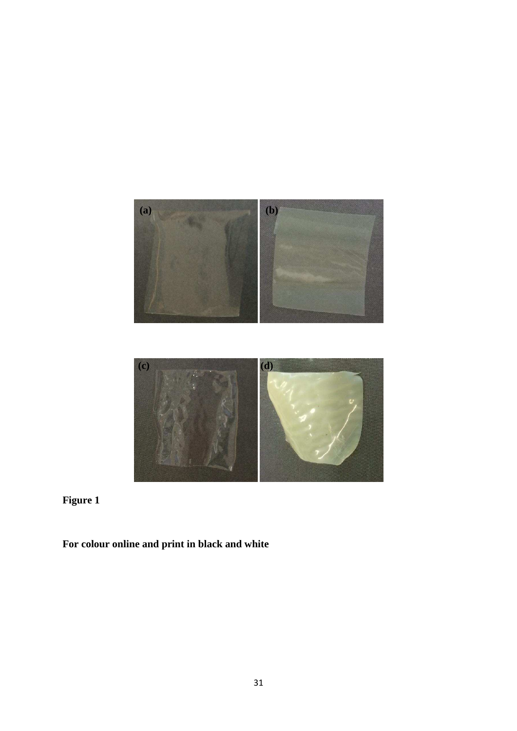

**Figure 1** 

**For colour online and print in black and white**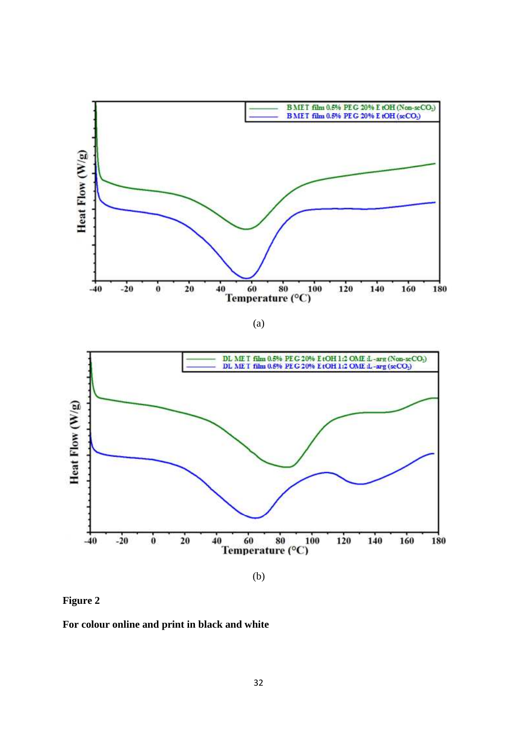

(a)



**Figure 2**

**For colour online and print in black and white**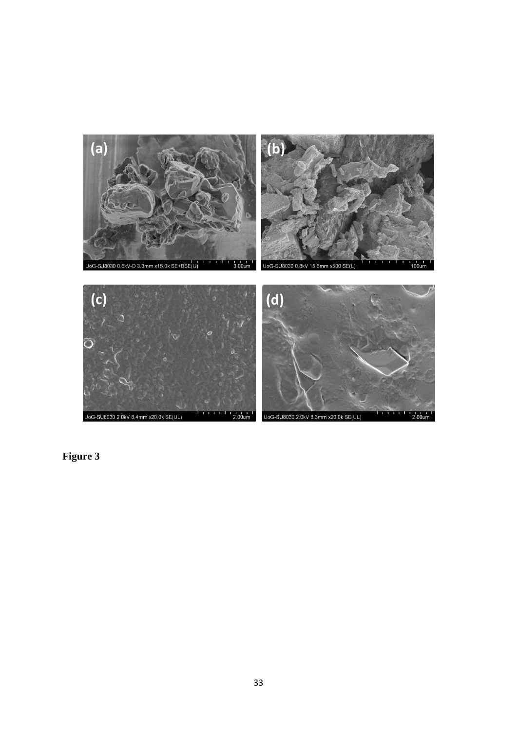

**Figure 3**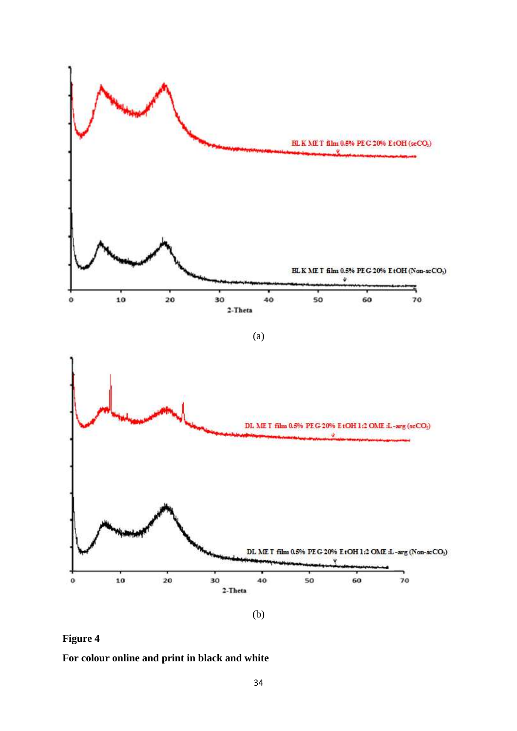



**For colour online and print in black and white**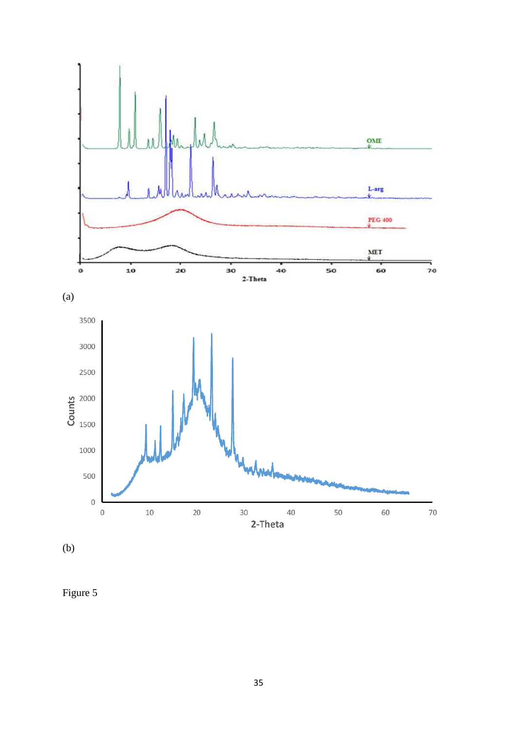

(b)

Figure 5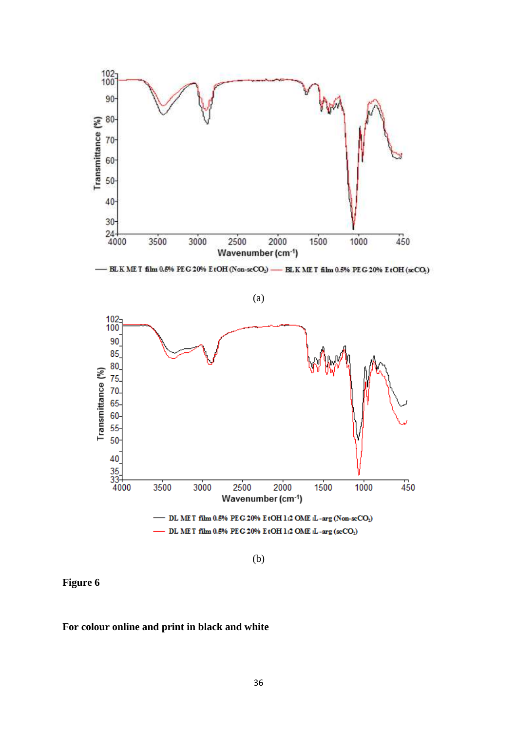

(b)

**Figure 6** 

#### **For colour online and print in black and white**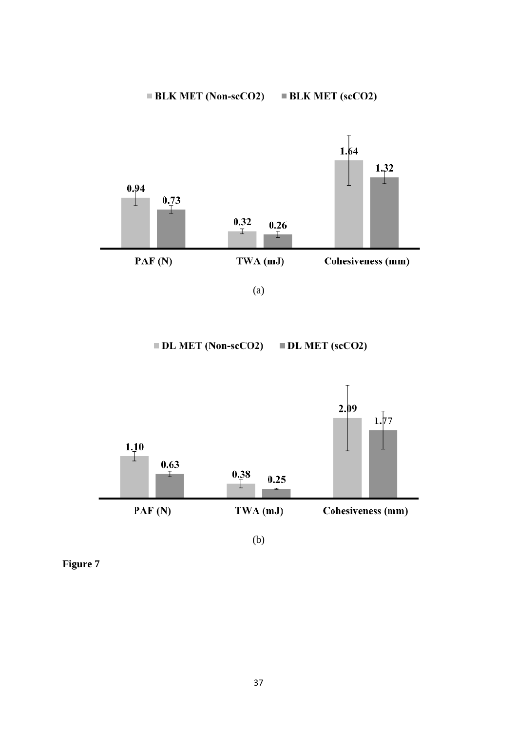#### **BLK MET (Non-scCO2)**  $\blacksquare$  BLK MET (scCO2)



(a)

**DL MET (Non-scCO2)**  $\blacksquare$  DL MET (scCO2)



(b)

**Figure 7**